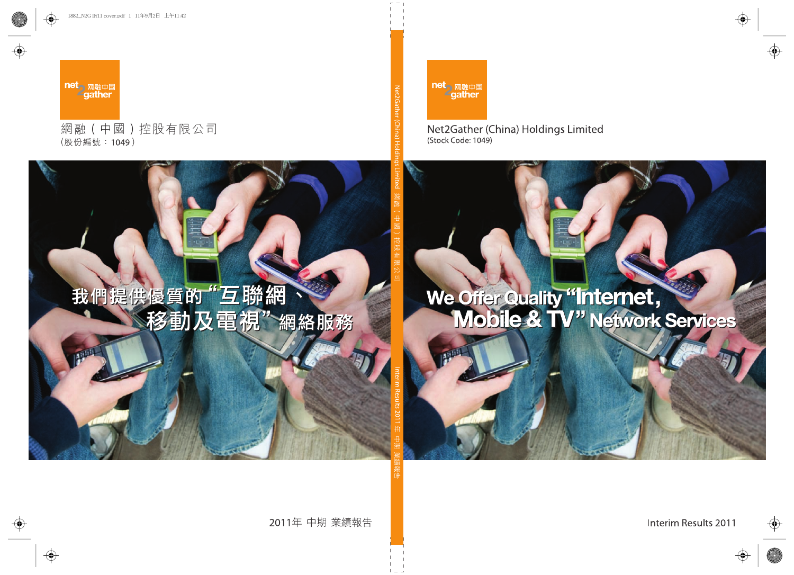

## Net2Gather (China) Holdings Limited (Stock Code: 1049)

# We Offer Quality "Internet,

Interim Results 2011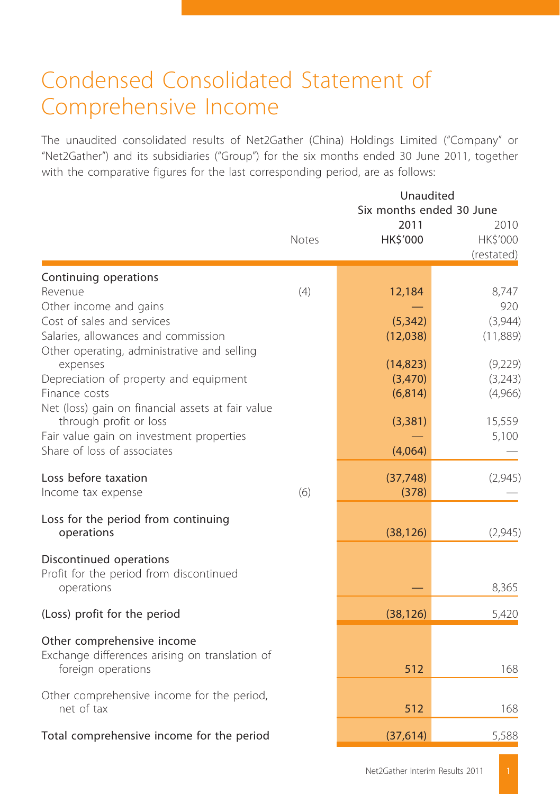## Condensed Consolidated Statement of Comprehensive Income

The unaudited consolidated results of Net2Gather (China) Holdings Limited ("Company" or "Net2Gather") and its subsidiaries ("Group") for the six months ended 30 June 2011, together with the comparative figures for the last corresponding period, are as follows:

|                                                                    | Unaudited<br>Six months ended 30 June |                         |                                |  |
|--------------------------------------------------------------------|---------------------------------------|-------------------------|--------------------------------|--|
|                                                                    | Notes                                 | 2011<br><b>HK\$'000</b> | 2010<br>HK\$'000<br>(restated) |  |
| Continuing operations                                              |                                       |                         |                                |  |
| Revenue                                                            | (4)                                   | 12,184                  | 8,747                          |  |
| Other income and gains<br>Cost of sales and services               |                                       | (5, 342)                | 920<br>(3,944)                 |  |
| Salaries, allowances and commission                                |                                       | (12,038)                | (11,889)                       |  |
| Other operating, administrative and selling                        |                                       |                         |                                |  |
| expenses                                                           |                                       | (14, 823)               | (9,229)                        |  |
| Depreciation of property and equipment                             |                                       | (3,470)                 | (3,243)                        |  |
| Finance costs<br>Net (loss) gain on financial assets at fair value |                                       | (6, 814)                | (4,966)                        |  |
| through profit or loss                                             |                                       | (3, 381)                | 15,559                         |  |
| Fair value gain on investment properties                           |                                       |                         | 5,100                          |  |
| Share of loss of associates                                        |                                       | (4,064)                 |                                |  |
| Loss before taxation                                               |                                       | (37, 748)               | (2,945)                        |  |
| Income tax expense                                                 | (6)                                   | (378)                   |                                |  |
| Loss for the period from continuing                                |                                       |                         |                                |  |
| operations                                                         |                                       | (38, 126)               | (2,945)                        |  |
| Discontinued operations                                            |                                       |                         |                                |  |
| Profit for the period from discontinued                            |                                       |                         |                                |  |
| operations                                                         |                                       |                         | 8,365                          |  |
| (Loss) profit for the period                                       |                                       | (38, 126)               | 5,420                          |  |
| Other comprehensive income                                         |                                       |                         |                                |  |
| Exchange differences arising on translation of                     |                                       |                         |                                |  |
| foreign operations                                                 |                                       | 512                     | 168                            |  |
| Other comprehensive income for the period,                         |                                       |                         |                                |  |
| net of tax                                                         |                                       | 512                     | 168                            |  |
| Total comprehensive income for the period                          |                                       | (37, 614)               | 5,588                          |  |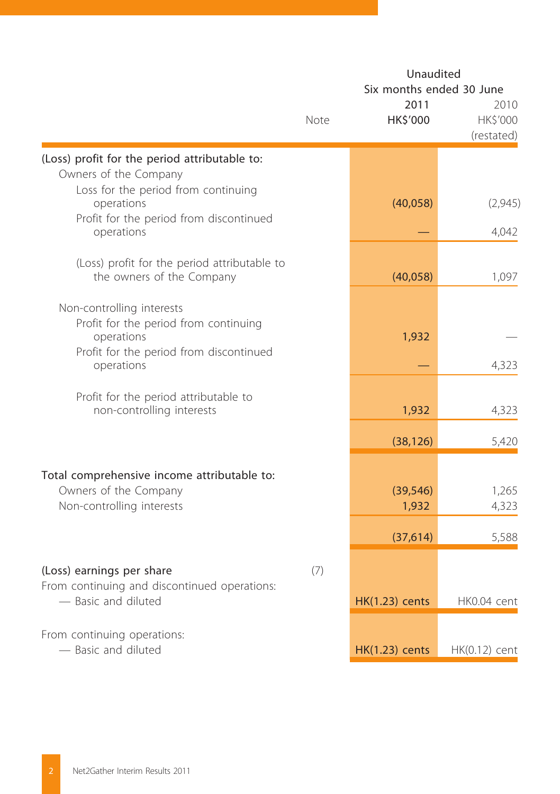|                                                                                                                                           | Unaudited<br>Six months ended 30 June |                       |                                |  |
|-------------------------------------------------------------------------------------------------------------------------------------------|---------------------------------------|-----------------------|--------------------------------|--|
|                                                                                                                                           | Note                                  | 2011<br>HK\$'000      | 2010<br>HK\$'000<br>(restated) |  |
| (Loss) profit for the period attributable to:<br>Owners of the Company                                                                    |                                       |                       |                                |  |
| Loss for the period from continuing<br>operations<br>Profit for the period from discontinued                                              |                                       | (40, 058)             | (2,945)                        |  |
| operations                                                                                                                                |                                       |                       | 4,042                          |  |
| (Loss) profit for the period attributable to<br>the owners of the Company                                                                 |                                       | (40,058)              | 1,097                          |  |
| Non-controlling interests<br>Profit for the period from continuing<br>operations<br>Profit for the period from discontinued<br>operations |                                       | 1,932                 | 4,323                          |  |
| Profit for the period attributable to<br>non-controlling interests                                                                        |                                       | 1,932                 | 4,323                          |  |
|                                                                                                                                           |                                       | (38, 126)             | 5,420                          |  |
| Total comprehensive income attributable to:<br>Owners of the Company<br>Non-controlling interests                                         |                                       | (39, 546)<br>1,932    | 1,265<br>4,323                 |  |
|                                                                                                                                           |                                       | (37, 614)             | 5,588                          |  |
| (Loss) earnings per share<br>From continuing and discontinued operations:                                                                 | (7)                                   |                       |                                |  |
| - Basic and diluted                                                                                                                       |                                       | <b>HK(1.23)</b> cents | HK0.04 cent                    |  |
| From continuing operations:<br>- Basic and diluted                                                                                        |                                       | <b>HK(1.23)</b> cents | HK(0.12) cent                  |  |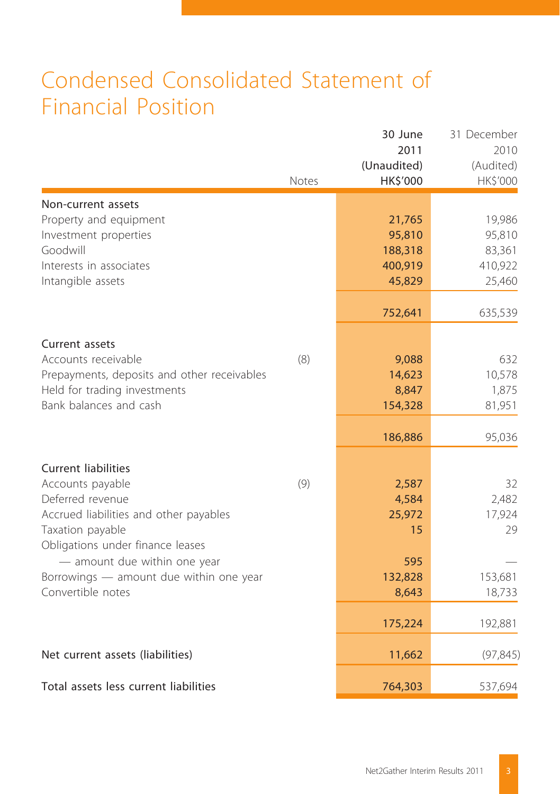## Condensed Consolidated Statement of Financial Position

|                                                                                                                                                                      | Notes | 30 June<br>2011<br>(Unaudited)<br>HK\$'000       | 31 December<br>2010<br>(Audited)<br>HK\$'000    |
|----------------------------------------------------------------------------------------------------------------------------------------------------------------------|-------|--------------------------------------------------|-------------------------------------------------|
| Non-current assets<br>Property and equipment<br>Investment properties<br>Goodwill<br>Interests in associates<br>Intangible assets                                    |       | 21,765<br>95,810<br>188,318<br>400,919<br>45,829 | 19,986<br>95,810<br>83,361<br>410,922<br>25,460 |
| Current assets                                                                                                                                                       |       | 752,641                                          | 635,539                                         |
| Accounts receivable<br>Prepayments, deposits and other receivables<br>Held for trading investments<br>Bank balances and cash                                         | (8)   | 9,088<br>14,623<br>8,847<br>154,328              | 632<br>10,578<br>1,875<br>81,951                |
|                                                                                                                                                                      |       | 186,886                                          | 95,036                                          |
| <b>Current liabilities</b><br>Accounts payable<br>Deferred revenue<br>Accrued liabilities and other payables<br>Taxation payable<br>Obligations under finance leases | (9)   | 2,587<br>4,584<br>25,972<br>15                   | 32<br>2,482<br>17,924<br>29                     |
| - amount due within one year<br>Borrowings - amount due within one year<br>Convertible notes                                                                         |       | 595<br>132,828<br>8,643                          | 153,681<br>18,733                               |
|                                                                                                                                                                      |       | 175,224                                          | 192,881                                         |
| Net current assets (liabilities)                                                                                                                                     |       | 11,662                                           | (97, 845)                                       |
| Total assets less current liabilities                                                                                                                                |       | 764,303                                          | 537,694                                         |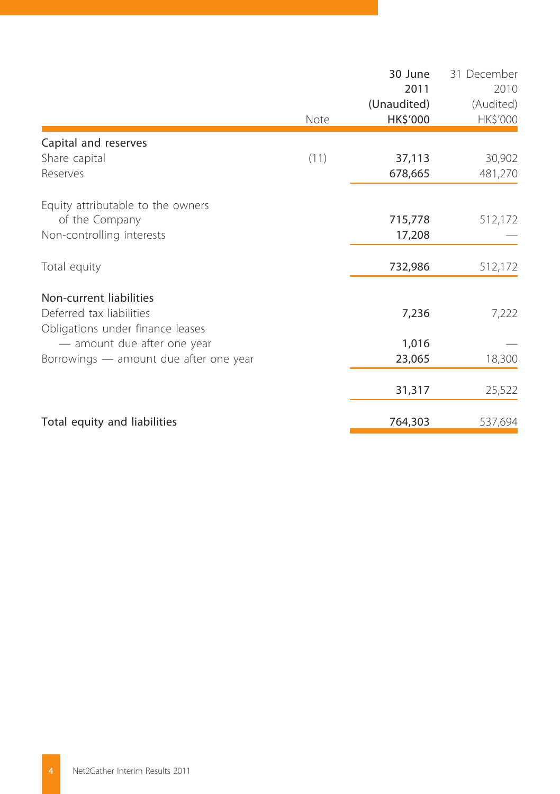|                                        |      | 30 June     | 31 December |
|----------------------------------------|------|-------------|-------------|
|                                        |      | 2011        | 2010        |
|                                        |      | (Unaudited) | (Audited)   |
|                                        | Note | HK\$'000    | HK\$'000    |
| Capital and reserves                   |      |             |             |
| Share capital                          | (11) | 37,113      | 30,902      |
| Reserves                               |      | 678,665     | 481,270     |
|                                        |      |             |             |
| Equity attributable to the owners      |      |             |             |
| of the Company                         |      | 715,778     | 512,172     |
| Non-controlling interests              |      | 17,208      |             |
| Total equity                           |      | 732,986     | 512,172     |
| Non-current liabilities                |      |             |             |
| Deferred tax liabilities               |      | 7,236       | 7,222       |
| Obligations under finance leases       |      |             |             |
| - amount due after one year            |      | 1,016       |             |
| Borrowings - amount due after one year |      | 23,065      | 18,300      |
|                                        |      |             |             |
|                                        |      | 31,317      | 25,522      |
| Total equity and liabilities           |      | 764,303     | 537,694     |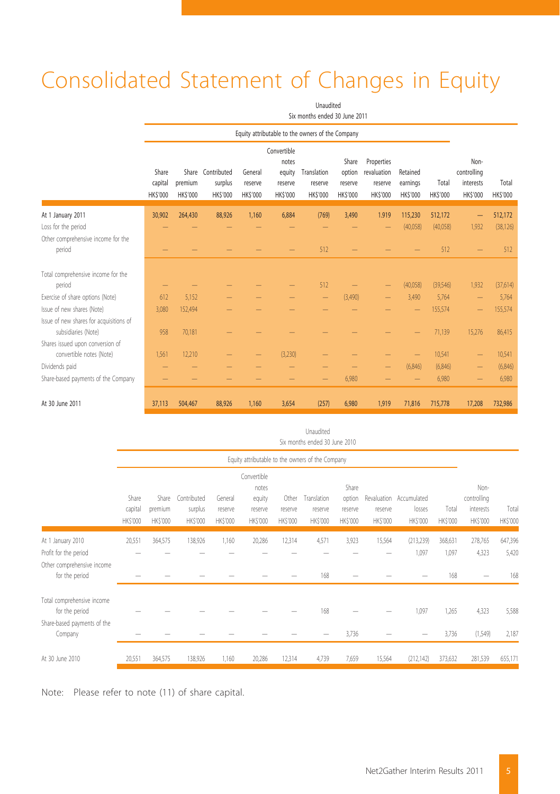# Consolidated Statement of Changes in Equity

Unaudited

|                                                                | Six months ended 30 June 2011      |                           |                                                |                                      |                                                             |                                                  |                                              |                                                         |                                        |                          |                                                    |                          |
|----------------------------------------------------------------|------------------------------------|---------------------------|------------------------------------------------|--------------------------------------|-------------------------------------------------------------|--------------------------------------------------|----------------------------------------------|---------------------------------------------------------|----------------------------------------|--------------------------|----------------------------------------------------|--------------------------|
|                                                                |                                    |                           |                                                |                                      |                                                             | Equity attributable to the owners of the Company |                                              |                                                         |                                        |                          |                                                    |                          |
|                                                                | Share<br>capital<br><b>HKS'000</b> | premium<br><b>HKS'000</b> | Share Contributed<br>surplus<br><b>HKS'000</b> | General<br>reserve<br><b>HKS'000</b> | Convertible<br>notes<br>equity<br>reserve<br><b>HKS'000</b> | Translation<br>reserve<br><b>HK\$'000</b>        | Share<br>option<br>reserve<br><b>HKS'000</b> | Properties<br>revaluation<br>reserve<br><b>HK\$'000</b> | Retained<br>earnings<br><b>HKS'000</b> | Total<br><b>HK\$'000</b> | Non-<br>controlling<br>interests<br><b>HKS'000</b> | Total<br><b>HK\$'000</b> |
| At 1 January 2011                                              | 30,902                             | 264,430                   | 88,926                                         | 1.160                                | 6,884                                                       | (769)                                            | 3.490                                        | 1.919                                                   | 115.230                                | 512,172                  | -                                                  | 512,172                  |
| Loss for the period                                            |                                    |                           |                                                |                                      |                                                             |                                                  |                                              |                                                         | (40,058)                               | (40,058)                 | 1,932                                              | (38, 126)                |
| Other comprehensive income for the                             |                                    |                           |                                                |                                      |                                                             |                                                  |                                              |                                                         |                                        |                          |                                                    |                          |
| period                                                         |                                    |                           |                                                |                                      |                                                             | 512                                              |                                              |                                                         |                                        | 512                      |                                                    | 512                      |
| Total comprehensive income for the<br>period                   |                                    |                           |                                                |                                      |                                                             | 512                                              |                                              |                                                         | (40,058)                               | (39,546)                 | 1,932                                              | (37,614)                 |
| Exercise of share options (Note)                               | 612                                | 5.152                     |                                                |                                      |                                                             | $\qquad \qquad -$                                | (3,490)                                      | -                                                       | 3,490                                  | 5.764                    | -                                                  | 5.764                    |
| Issue of new shares (Note)                                     | 3.080                              | 152.494                   |                                                |                                      |                                                             |                                                  |                                              |                                                         |                                        | 155,574                  |                                                    | 155,574                  |
| Issue of new shares for acquisitions of<br>subsidiaries (Note) | 958                                | 70.181                    |                                                |                                      |                                                             |                                                  |                                              |                                                         |                                        | 71.139                   | 15,276                                             | 86.415                   |
| Shares issued upon conversion of<br>convertible notes (Note)   | 1,561                              | 12.210                    |                                                |                                      | (3,230)                                                     |                                                  |                                              |                                                         |                                        | 10,541                   |                                                    | 10,541                   |
| Dividends paid                                                 |                                    |                           |                                                |                                      |                                                             |                                                  |                                              |                                                         | (6, 846)                               | (6, 846)                 |                                                    | (6, 846)                 |
| Share-based payments of the Company                            |                                    |                           |                                                |                                      |                                                             |                                                  | 6,980                                        |                                                         |                                        | 6,980                    |                                                    | 6,980                    |
| At 30 June 2011                                                | 37.113                             | 504,467                   | 88,926                                         | 1.160                                | 3,654                                                       | (257)                                            | 6,980                                        | 1,919                                                   | 71,816                                 | 715,778                  | 17,208                                             | 732,986                  |

|  |                               | Unaudited |  |  |
|--|-------------------------------|-----------|--|--|
|  | Six months ended 30 June 2010 |           |  |  |

|                                              |                              |                                    |                                    |                                      | Equity attributable to the owners of the Company      |                              |                                    |                                        |                     |                                               |                          |                                              |                   |
|----------------------------------------------|------------------------------|------------------------------------|------------------------------------|--------------------------------------|-------------------------------------------------------|------------------------------|------------------------------------|----------------------------------------|---------------------|-----------------------------------------------|--------------------------|----------------------------------------------|-------------------|
|                                              | Share<br>capital<br>HK\$'000 | Share<br>premium<br><b>HKS'000</b> | Contributed<br>surplus<br>HK\$'000 | General<br>reserve<br><b>HKS'000</b> | Convertible<br>notes<br>equity<br>reserve<br>HK\$'000 | Other<br>reserve<br>HK\$'000 | Translation<br>reserve<br>HK\$'000 | Share<br>option<br>reserve<br>HK\$'000 | reserve<br>HK\$'000 | Revaluation Accumulated<br>losses<br>HK\$'000 | Total<br><b>HK\$'000</b> | Non-<br>controlling<br>interests<br>HK\$'000 | Total<br>HK\$'000 |
| At 1 January 2010                            | 20,551                       | 364,575                            | 138,926                            | 1,160                                | 20,286                                                | 12,314                       | 4,571                              | 3,923                                  | 15,564              | (213, 239)                                    | 368,631                  | 278,765                                      | 647,396           |
| Profit for the period                        |                              |                                    |                                    |                                      |                                                       |                              |                                    |                                        |                     | 1,097                                         | 1,097                    | 4,323                                        | 5,420             |
| Other comprehensive income<br>for the period |                              |                                    |                                    |                                      |                                                       |                              | 168                                |                                        |                     |                                               | 168                      |                                              | 168               |
| Total comprehensive income<br>for the period |                              |                                    |                                    |                                      |                                                       |                              | 168                                |                                        |                     | 1,097                                         | 1,265                    | 4,323                                        | 5,588             |
| Share-based payments of the<br>Company       |                              |                                    |                                    |                                      |                                                       |                              |                                    | 3,736                                  |                     |                                               | 3,736                    | (1, 549)                                     | 2,187             |
| At 30 June 2010                              | 20,551                       | 364,575                            | 138,926                            | 1,160                                | 20,286                                                | 12,314                       | 4,739                              | 7,659                                  | 15,564              | (212, 142)                                    | 373,632                  | 281,539                                      | 655,171           |

Note: Please refer to note (11) of share capital.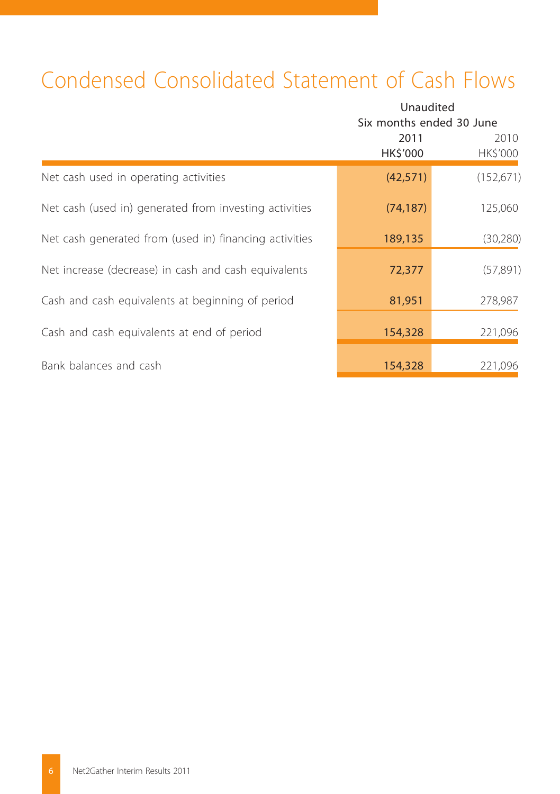## Condensed Consolidated Statement of Cash Flows

|                                                        | Unaudited<br>Six months ended 30 June |                  |
|--------------------------------------------------------|---------------------------------------|------------------|
|                                                        | 2011<br>HK\$'000                      | 2010<br>HK\$'000 |
| Net cash used in operating activities                  | (42, 571)                             | (152, 671)       |
| Net cash (used in) generated from investing activities | (74, 187)                             | 125,060          |
| Net cash generated from (used in) financing activities | 189,135                               | (30, 280)        |
| Net increase (decrease) in cash and cash equivalents   | 72,377                                | (57, 891)        |
| Cash and cash equivalents at beginning of period       | 81,951                                | 278,987          |
| Cash and cash equivalents at end of period             | 154,328                               | 221,096          |
| Bank balances and cash                                 | 154,328                               | 221,096          |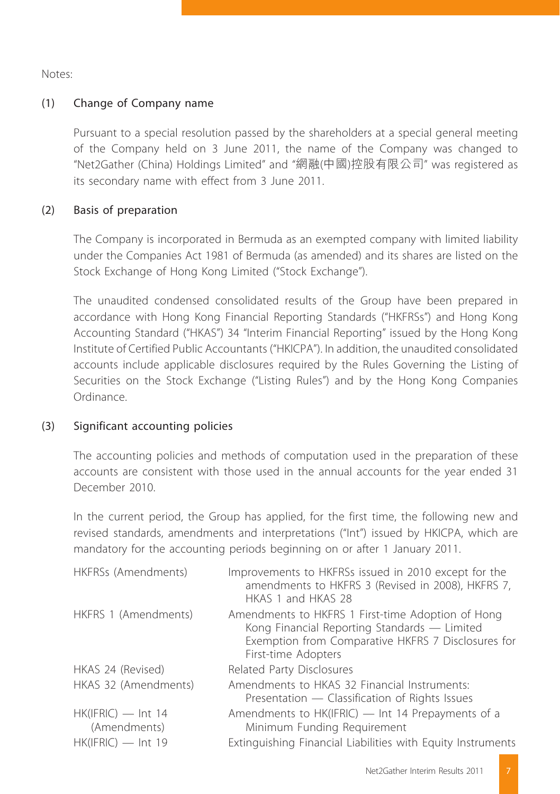Notes:

#### (1) Change of Company name

Pursuant to a special resolution passed by the shareholders at a special general meeting of the Company held on 3 June 2011, the name of the Company was changed to "Net2Gather (China) Holdings Limited" and "網融(中國)控股有限公司" was registered as its secondary name with effect from 3 June 2011.

#### (2) Basis of preparation

The Company is incorporated in Bermuda as an exempted company with limited liability under the Companies Act 1981 of Bermuda (as amended) and its shares are listed on the Stock Exchange of Hong Kong Limited ("Stock Exchange").

The unaudited condensed consolidated results of the Group have been prepared in accordance with Hong Kong Financial Reporting Standards ("HKFRSs") and Hong Kong Accounting Standard ("HKAS") 34 "Interim Financial Reporting" issued by the Hong Kong Institute of Certified Public Accountants ("HKICPA"). In addition, the unaudited consolidated accounts include applicable disclosures required by the Rules Governing the Listing of Securities on the Stock Exchange ("Listing Rules") and by the Hong Kong Companies Ordinance.

#### (3) Significant accounting policies

The accounting policies and methods of computation used in the preparation of these accounts are consistent with those used in the annual accounts for the year ended 31 December 2010.

In the current period, the Group has applied, for the first time, the following new and revised standards, amendments and interpretations ("Int") issued by HKICPA, which are mandatory for the accounting periods beginning on or after 1 January 2011.

| HKFRSs (Amendments)                  | Improvements to HKFRSs issued in 2010 except for the<br>amendments to HKFRS 3 (Revised in 2008), HKFRS 7,<br>HKAS 1 and HKAS 28                                                |
|--------------------------------------|--------------------------------------------------------------------------------------------------------------------------------------------------------------------------------|
| HKFRS 1 (Amendments)                 | Amendments to HKFRS 1 First-time Adoption of Hong<br>Kong Financial Reporting Standards - Limited<br>Exemption from Comparative HKFRS 7 Disclosures for<br>First-time Adopters |
| HKAS 24 (Revised)                    | Related Party Disclosures                                                                                                                                                      |
| HKAS 32 (Amendments)                 | Amendments to HKAS 32 Financial Instruments:<br>Presentation — Classification of Rights Issues                                                                                 |
| $HK(IFRIC)$ — Int 14<br>(Amendments) | Amendments to HK(IFRIC) — Int 14 Prepayments of a<br>Minimum Funding Requirement                                                                                               |
| $HK(IFRIC)$ — Int 19                 | Extinguishing Financial Liabilities with Equity Instruments                                                                                                                    |
|                                      |                                                                                                                                                                                |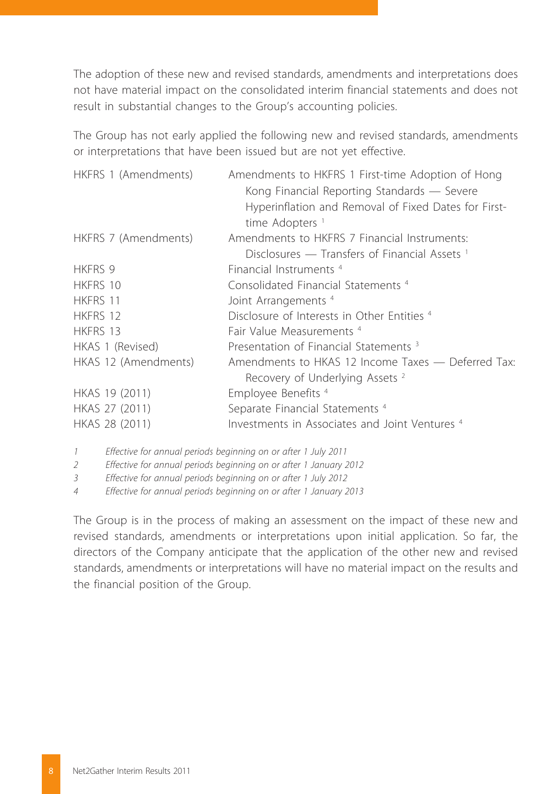The adoption of these new and revised standards, amendments and interpretations does not have material impact on the consolidated interim financial statements and does not result in substantial changes to the Group's accounting policies.

The Group has not early applied the following new and revised standards, amendments or interpretations that have been issued but are not yet effective.

| HKFRS 1 (Amendments) | Amendments to HKFRS 1 First-time Adoption of Hong<br>Kong Financial Reporting Standards - Severe<br>Hyperinflation and Removal of Fixed Dates for First-<br>time Adopters |
|----------------------|---------------------------------------------------------------------------------------------------------------------------------------------------------------------------|
| HKFRS 7 (Amendments) | Amendments to HKFRS 7 Financial Instruments:                                                                                                                              |
|                      | Disclosures — Transfers of Financial Assets <sup>1</sup>                                                                                                                  |
| <b>HKFRS 9</b>       | Financial Instruments <sup>4</sup>                                                                                                                                        |
| <b>HKFRS 10</b>      | Consolidated Financial Statements <sup>4</sup>                                                                                                                            |
| HKFRS 11             | Joint Arrangements <sup>4</sup>                                                                                                                                           |
| HKFRS 12             | Disclosure of Interests in Other Entities 4                                                                                                                               |
| <b>HKFRS 13</b>      | Fair Value Measurements <sup>4</sup>                                                                                                                                      |
| HKAS 1 (Revised)     | Presentation of Financial Statements <sup>3</sup>                                                                                                                         |
| HKAS 12 (Amendments) | Amendments to HKAS 12 Income Taxes — Deferred Tax:<br>Recovery of Underlying Assets <sup>2</sup>                                                                          |
| HKAS 19 (2011)       | Employee Benefits <sup>4</sup>                                                                                                                                            |
| HKAS 27 (2011)       | Separate Financial Statements <sup>4</sup>                                                                                                                                |
| HKAS 28 (2011)       | Investments in Associates and Joint Ventures <sup>4</sup>                                                                                                                 |

*1 Effective for annual periods beginning on or after 1 July 2011*

*2 Effective for annual periods beginning on or after 1 January 2012*

*3 Effective for annual periods beginning on or after 1 July 2012*

*4 Effective for annual periods beginning on or after 1 January 2013*

The Group is in the process of making an assessment on the impact of these new and revised standards, amendments or interpretations upon initial application. So far, the directors of the Company anticipate that the application of the other new and revised standards, amendments or interpretations will have no material impact on the results and the financial position of the Group.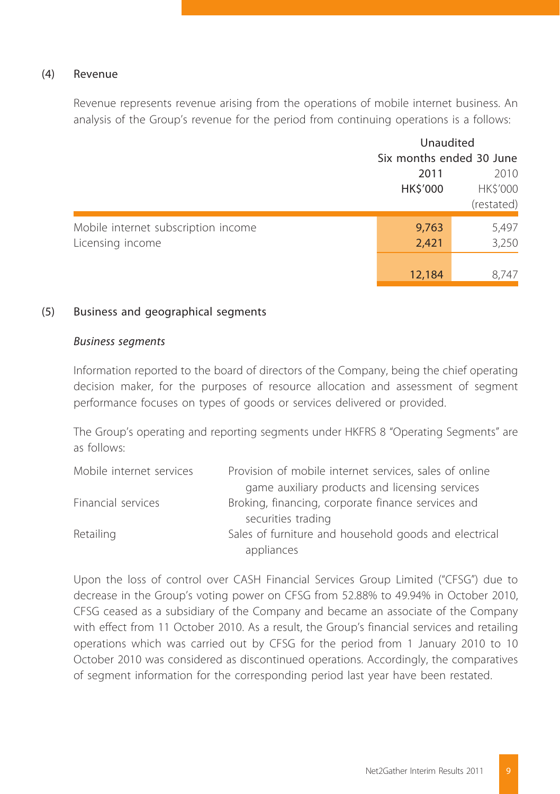#### (4) Revenue

Revenue represents revenue arising from the operations of mobile internet business. An analysis of the Group's revenue for the period from continuing operations is a follows:

|                                     |                          | Unaudited  |  |  |
|-------------------------------------|--------------------------|------------|--|--|
|                                     | Six months ended 30 June |            |  |  |
|                                     | 2011                     | 2010       |  |  |
|                                     | HK\$'000                 | HK\$'000   |  |  |
|                                     |                          | (restated) |  |  |
| Mobile internet subscription income | 9,763                    | 5,497      |  |  |
| Licensing income                    | 2,421                    | 3,250      |  |  |
|                                     |                          |            |  |  |
|                                     | 12,184                   | 8.747      |  |  |

#### (5) Business and geographical segments

#### *Business segments*

Information reported to the board of directors of the Company, being the chief operating decision maker, for the purposes of resource allocation and assessment of segment performance focuses on types of goods or services delivered or provided.

The Group's operating and reporting segments under HKFRS 8 "Operating Segments" are as follows:

| Mobile internet services | Provision of mobile internet services, sales of online |
|--------------------------|--------------------------------------------------------|
|                          | game auxiliary products and licensing services         |
| Financial services       | Broking, financing, corporate finance services and     |
|                          | securities trading                                     |
| Retailing                | Sales of furniture and household goods and electrical  |
|                          | appliances                                             |

Upon the loss of control over CASH Financial Services Group Limited ("CFSG") due to decrease in the Group's voting power on CFSG from 52.88% to 49.94% in October 2010, CFSG ceased as a subsidiary of the Company and became an associate of the Company with effect from 11 October 2010. As a result, the Group's financial services and retailing operations which was carried out by CFSG for the period from 1 January 2010 to 10 October 2010 was considered as discontinued operations. Accordingly, the comparatives of segment information for the corresponding period last year have been restated.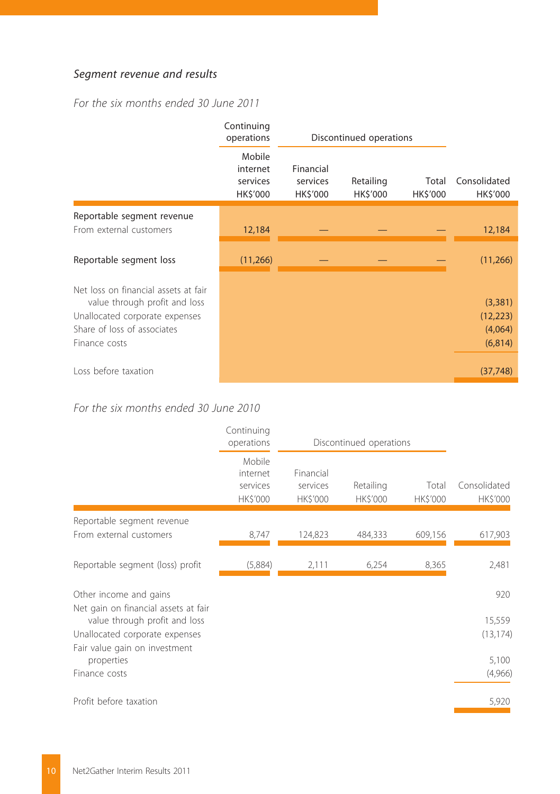### *Segment revenue and results*

*For the six months ended 30 June 2011*

|                                                                       | Continuing<br>operations                   |                                   | Discontinued operations |                   |                          |  |
|-----------------------------------------------------------------------|--------------------------------------------|-----------------------------------|-------------------------|-------------------|--------------------------|--|
|                                                                       | Mobile<br>internet<br>services<br>HK\$'000 | Financial<br>services<br>HK\$'000 | Retailing<br>HK\$'000   | Total<br>HK\$'000 | Consolidated<br>HK\$'000 |  |
| Reportable segment revenue                                            |                                            |                                   |                         |                   |                          |  |
| From external customers                                               | 12,184                                     |                                   |                         |                   | 12,184                   |  |
| Reportable segment loss                                               | (11, 266)                                  |                                   |                         |                   | (11, 266)                |  |
| Net loss on financial assets at fair<br>value through profit and loss |                                            |                                   |                         |                   | (3,381)                  |  |
| Unallocated corporate expenses                                        |                                            |                                   |                         |                   | (12, 223)                |  |
| Share of loss of associates                                           |                                            |                                   |                         |                   | (4,064)                  |  |
| Finance costs                                                         |                                            |                                   |                         |                   | (6, 814)                 |  |
| Loss before taxation                                                  |                                            |                                   |                         |                   | (37, 748)                |  |

## *For the six months ended 30 June 2010*

|                                                                | Continuing<br>operations                   | Discontinued operations                  |                       |                   |                          |
|----------------------------------------------------------------|--------------------------------------------|------------------------------------------|-----------------------|-------------------|--------------------------|
|                                                                | Mobile<br>internet<br>services<br>HK\$'000 | Financial<br>services<br><b>HK\$'000</b> | Retailing<br>HK\$'000 | Total<br>HK\$'000 | Consolidated<br>HK\$'000 |
| Reportable segment revenue                                     |                                            |                                          |                       |                   |                          |
| From external customers                                        | 8,747                                      | 124,823                                  | 484,333               | 609,156           | 617,903                  |
| Reportable segment (loss) profit                               | (5,884)                                    | 2,111                                    | 6,254                 | 8,365             | 2,481                    |
| Other income and gains<br>Net gain on financial assets at fair |                                            |                                          |                       |                   | 920                      |
| value through profit and loss                                  |                                            |                                          |                       |                   | 15,559                   |
| Unallocated corporate expenses                                 |                                            |                                          |                       |                   | (13, 174)                |
| Fair value gain on investment<br>properties                    |                                            |                                          |                       |                   | 5,100                    |
| Finance costs                                                  |                                            |                                          |                       |                   | (4,966)                  |
| Profit before taxation                                         |                                            |                                          |                       |                   | 5,920                    |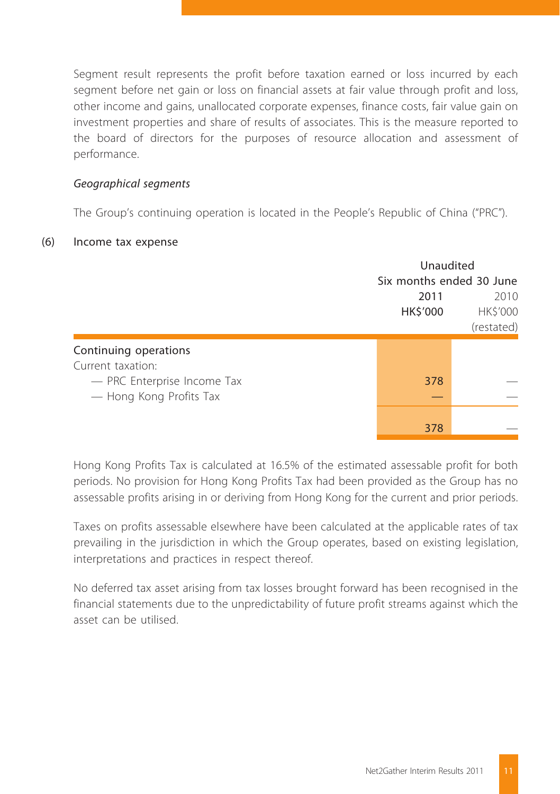Segment result represents the profit before taxation earned or loss incurred by each segment before net gain or loss on financial assets at fair value through profit and loss, other income and gains, unallocated corporate expenses, finance costs, fair value gain on investment properties and share of results of associates. This is the measure reported to the board of directors for the purposes of resource allocation and assessment of performance.

#### *Geographical segments*

The Group's continuing operation is located in the People's Republic of China ("PRC").

#### (6) Income tax expense

|                                                        | Unaudited                |                                |  |
|--------------------------------------------------------|--------------------------|--------------------------------|--|
|                                                        | Six months ended 30 June |                                |  |
|                                                        | 2011<br>HK\$'000         | 2010<br>HK\$'000<br>(restated) |  |
| Continuing operations<br>Current taxation:             |                          |                                |  |
| - PRC Enterprise Income Tax<br>- Hong Kong Profits Tax | 378                      |                                |  |
|                                                        | 378                      |                                |  |

Hong Kong Profits Tax is calculated at 16.5% of the estimated assessable profit for both periods. No provision for Hong Kong Profits Tax had been provided as the Group has no assessable profits arising in or deriving from Hong Kong for the current and prior periods.

Taxes on profits assessable elsewhere have been calculated at the applicable rates of tax prevailing in the jurisdiction in which the Group operates, based on existing legislation, interpretations and practices in respect thereof.

No deferred tax asset arising from tax losses brought forward has been recognised in the financial statements due to the unpredictability of future profit streams against which the asset can be utilised.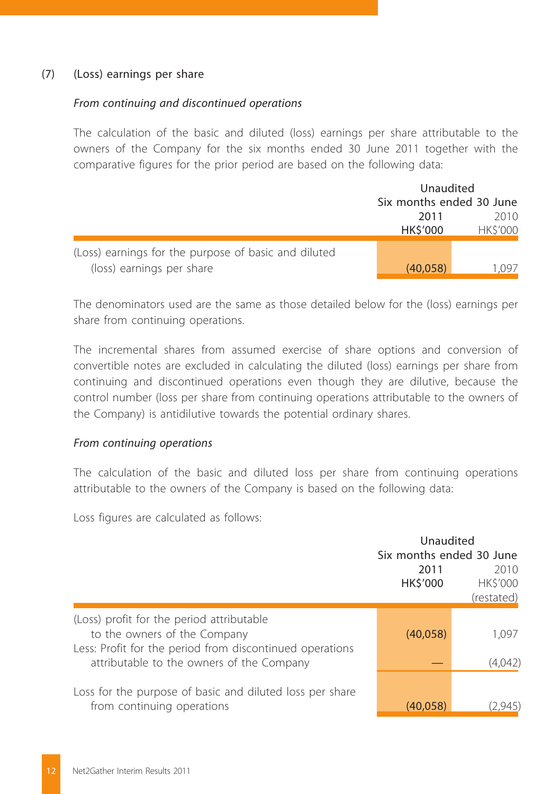#### (7) (Loss) earnings per share

#### *From continuing and discontinued operations*

The calculation of the basic and diluted (loss) earnings per share attributable to the owners of the Company for the six months ended 30 June 2011 together with the comparative figures for the prior period are based on the following data:

|                                                      |                          | Unaudited              |  |  |
|------------------------------------------------------|--------------------------|------------------------|--|--|
|                                                      | Six months ended 30 June |                        |  |  |
|                                                      | 2011<br><b>HKS'000</b>   | 2010<br><b>HKS'000</b> |  |  |
|                                                      |                          |                        |  |  |
| (Loss) earnings for the purpose of basic and diluted |                          |                        |  |  |
| (loss) earnings per share                            | (40.058)                 | 1.097                  |  |  |

The denominators used are the same as those detailed below for the (loss) earnings per share from continuing operations.

The incremental shares from assumed exercise of share options and conversion of convertible notes are excluded in calculating the diluted (loss) earnings per share from continuing and discontinued operations even though they are dilutive, because the control number (loss per share from continuing operations attributable to the owners of the Company) is antidilutive towards the potential ordinary shares.

#### *From continuing operations*

The calculation of the basic and diluted loss per share from continuing operations attributable to the owners of the Company is based on the following data:

Loss figures are calculated as follows:

|                                                                                                                                                                                    | Unaudited<br>Six months ended 30 June<br>2011<br>HK\$'000 | 2010<br><b>HKS'000</b><br>(restated) |
|------------------------------------------------------------------------------------------------------------------------------------------------------------------------------------|-----------------------------------------------------------|--------------------------------------|
| (Loss) profit for the period attributable<br>to the owners of the Company<br>Less: Profit for the period from discontinued operations<br>attributable to the owners of the Company | (40,058)                                                  | 1.097<br>(4,042)                     |
| Loss for the purpose of basic and diluted loss per share<br>from continuing operations                                                                                             | (40, 058)                                                 | (2.945                               |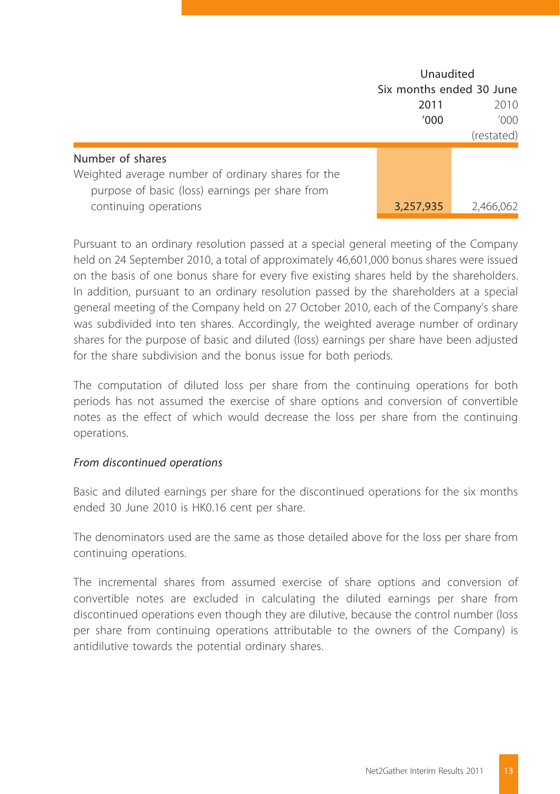|                                                                                                                           | Unaudited<br>Six months ended 30 June |              |  |
|---------------------------------------------------------------------------------------------------------------------------|---------------------------------------|--------------|--|
|                                                                                                                           | 2011<br>'000                          | 2010<br>'000 |  |
|                                                                                                                           |                                       | (restated)   |  |
| Number of shares<br>Weighted average number of ordinary shares for the<br>purpose of basic (loss) earnings per share from |                                       |              |  |
| continuing operations                                                                                                     | 3,257,935                             | 2,466,062    |  |

Pursuant to an ordinary resolution passed at a special general meeting of the Company held on 24 September 2010, a total of approximately 46,601,000 bonus shares were issued on the basis of one bonus share for every five existing shares held by the shareholders. In addition, pursuant to an ordinary resolution passed by the shareholders at a special general meeting of the Company held on 27 October 2010, each of the Company's share was subdivided into ten shares. Accordingly, the weighted average number of ordinary shares for the purpose of basic and diluted (loss) earnings per share have been adjusted for the share subdivision and the bonus issue for both periods.

The computation of diluted loss per share from the continuing operations for both periods has not assumed the exercise of share options and conversion of convertible notes as the effect of which would decrease the loss per share from the continuing operations.

#### *From discontinued operations*

Basic and diluted earnings per share for the discontinued operations for the six months ended 30 June 2010 is HK0.16 cent per share.

The denominators used are the same as those detailed above for the loss per share from continuing operations.

The incremental shares from assumed exercise of share options and conversion of convertible notes are excluded in calculating the diluted earnings per share from discontinued operations even though they are dilutive, because the control number (loss per share from continuing operations attributable to the owners of the Company) is antidilutive towards the potential ordinary shares.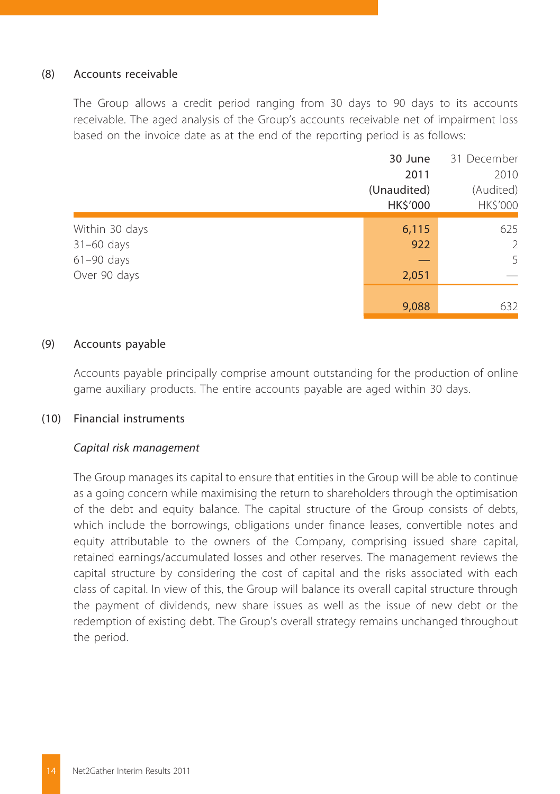#### (8) Accounts receivable

The Group allows a credit period ranging from 30 days to 90 days to its accounts receivable. The aged analysis of the Group's accounts receivable net of impairment loss based on the invoice date as at the end of the reporting period is as follows:

|                | 30 June     | 31 December |  |
|----------------|-------------|-------------|--|
|                | 2011        | 2010        |  |
|                | (Unaudited) | (Audited)   |  |
|                | HK\$'000    | HK\$'000    |  |
| Within 30 days | 6,115       | 625         |  |
| $31-60$ days   | 922         | 2           |  |
| $61-90$ days   |             | 5           |  |
| Over 90 days   | 2,051       |             |  |
|                |             |             |  |
|                | 9,088       | 632         |  |

#### (9) Accounts payable

Accounts payable principally comprise amount outstanding for the production of online game auxiliary products. The entire accounts payable are aged within 30 days.

#### (10) Financial instruments

#### *Capital risk management*

The Group manages its capital to ensure that entities in the Group will be able to continue as a going concern while maximising the return to shareholders through the optimisation of the debt and equity balance. The capital structure of the Group consists of debts, which include the borrowings, obligations under finance leases, convertible notes and equity attributable to the owners of the Company, comprising issued share capital, retained earnings/accumulated losses and other reserves. The management reviews the capital structure by considering the cost of capital and the risks associated with each class of capital. In view of this, the Group will balance its overall capital structure through the payment of dividends, new share issues as well as the issue of new debt or the redemption of existing debt. The Group's overall strategy remains unchanged throughout the period.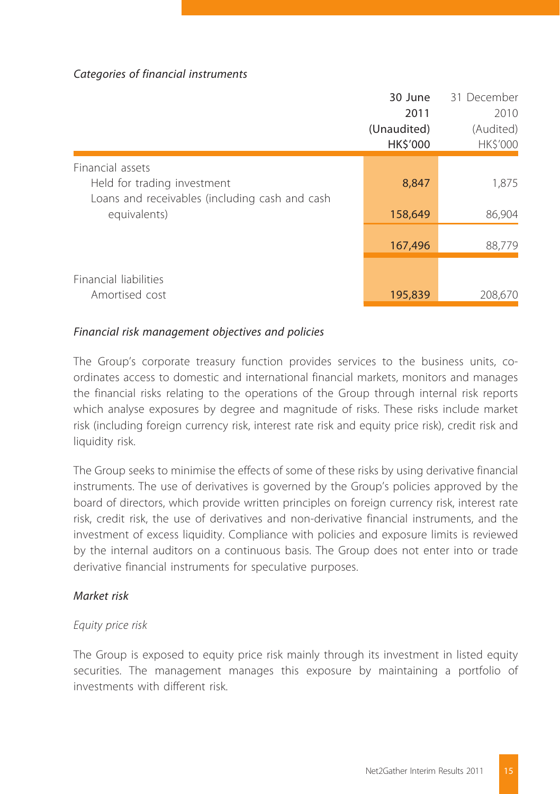#### *Categories of financial instruments*

|                                                | 30 June         | 31 December    |
|------------------------------------------------|-----------------|----------------|
|                                                | 2011            | 2010           |
|                                                | (Unaudited)     | (Audited)      |
|                                                | <b>HK\$'000</b> | <b>HKS'000</b> |
| Financial assets                               |                 |                |
| Held for trading investment                    | 8,847           | 1,875          |
| Loans and receivables (including cash and cash |                 |                |
| equivalents)                                   | 158,649         | 86,904         |
|                                                |                 |                |
|                                                | 167,496         | 88,779         |
|                                                |                 |                |
| Financial liabilities                          |                 |                |
| Amortised cost                                 | 195,839         | 208,670        |

#### *Financial risk management objectives and policies*

The Group's corporate treasury function provides services to the business units, coordinates access to domestic and international financial markets, monitors and manages the financial risks relating to the operations of the Group through internal risk reports which analyse exposures by degree and magnitude of risks. These risks include market risk (including foreign currency risk, interest rate risk and equity price risk), credit risk and liquidity risk.

The Group seeks to minimise the effects of some of these risks by using derivative financial instruments. The use of derivatives is governed by the Group's policies approved by the board of directors, which provide written principles on foreign currency risk, interest rate risk, credit risk, the use of derivatives and non-derivative financial instruments, and the investment of excess liquidity. Compliance with policies and exposure limits is reviewed by the internal auditors on a continuous basis. The Group does not enter into or trade derivative financial instruments for speculative purposes.

#### *Market risk*

#### *Equity price risk*

The Group is exposed to equity price risk mainly through its investment in listed equity securities. The management manages this exposure by maintaining a portfolio of investments with different risk.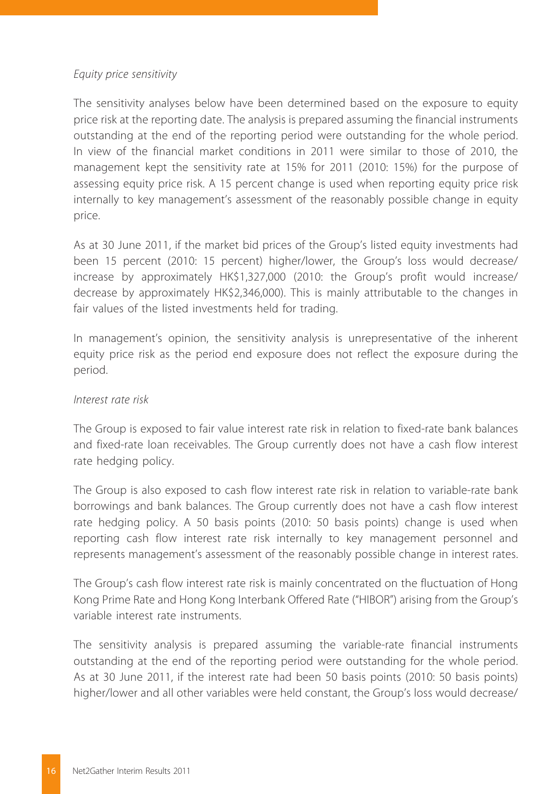#### *Equity price sensitivity*

The sensitivity analyses below have been determined based on the exposure to equity price risk at the reporting date. The analysis is prepared assuming the financial instruments outstanding at the end of the reporting period were outstanding for the whole period. In view of the financial market conditions in 2011 were similar to those of 2010, the management kept the sensitivity rate at 15% for 2011 (2010: 15%) for the purpose of assessing equity price risk. A 15 percent change is used when reporting equity price risk internally to key management's assessment of the reasonably possible change in equity price.

As at 30 June 2011, if the market bid prices of the Group's listed equity investments had been 15 percent (2010: 15 percent) higher/lower, the Group's loss would decrease/ increase by approximately HK\$1,327,000 (2010: the Group's profit would increase/ decrease by approximately HK\$2,346,000). This is mainly attributable to the changes in fair values of the listed investments held for trading.

In management's opinion, the sensitivity analysis is unrepresentative of the inherent equity price risk as the period end exposure does not reflect the exposure during the period.

#### *Interest rate risk*

The Group is exposed to fair value interest rate risk in relation to fixed-rate bank balances and fixed-rate loan receivables. The Group currently does not have a cash flow interest rate hedging policy.

The Group is also exposed to cash flow interest rate risk in relation to variable-rate bank borrowings and bank balances. The Group currently does not have a cash flow interest rate hedging policy. A 50 basis points (2010: 50 basis points) change is used when reporting cash flow interest rate risk internally to key management personnel and represents management's assessment of the reasonably possible change in interest rates.

The Group's cash flow interest rate risk is mainly concentrated on the fluctuation of Hong Kong Prime Rate and Hong Kong Interbank Offered Rate ("HIBOR") arising from the Group's variable interest rate instruments.

The sensitivity analysis is prepared assuming the variable-rate financial instruments outstanding at the end of the reporting period were outstanding for the whole period. As at 30 June 2011, if the interest rate had been 50 basis points (2010: 50 basis points) higher/lower and all other variables were held constant, the Group's loss would decrease/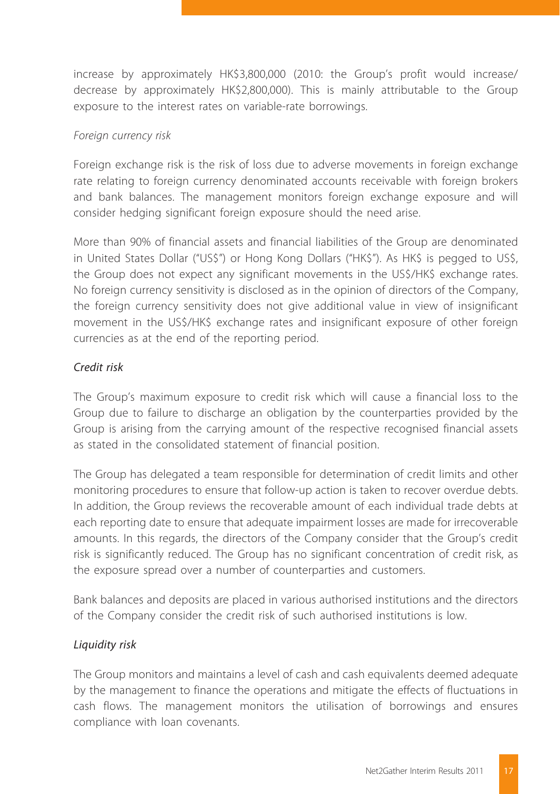increase by approximately HK\$3,800,000 (2010: the Group's profit would increase/ decrease by approximately HK\$2,800,000). This is mainly attributable to the Group exposure to the interest rates on variable-rate borrowings.

#### *Foreign currency risk*

Foreign exchange risk is the risk of loss due to adverse movements in foreign exchange rate relating to foreign currency denominated accounts receivable with foreign brokers and bank balances. The management monitors foreign exchange exposure and will consider hedging significant foreign exposure should the need arise.

More than 90% of financial assets and financial liabilities of the Group are denominated in United States Dollar ("US\$") or Hong Kong Dollars ("HK\$"). As HK\$ is pegged to US\$, the Group does not expect any significant movements in the US\$/HK\$ exchange rates. No foreign currency sensitivity is disclosed as in the opinion of directors of the Company, the foreign currency sensitivity does not give additional value in view of insignificant movement in the US\$/HK\$ exchange rates and insignificant exposure of other foreign currencies as at the end of the reporting period.

#### *Credit risk*

The Group's maximum exposure to credit risk which will cause a financial loss to the Group due to failure to discharge an obligation by the counterparties provided by the Group is arising from the carrying amount of the respective recognised financial assets as stated in the consolidated statement of financial position.

The Group has delegated a team responsible for determination of credit limits and other monitoring procedures to ensure that follow-up action is taken to recover overdue debts. In addition, the Group reviews the recoverable amount of each individual trade debts at each reporting date to ensure that adequate impairment losses are made for irrecoverable amounts. In this regards, the directors of the Company consider that the Group's credit risk is significantly reduced. The Group has no significant concentration of credit risk, as the exposure spread over a number of counterparties and customers.

Bank balances and deposits are placed in various authorised institutions and the directors of the Company consider the credit risk of such authorised institutions is low.

#### *Liquidity risk*

The Group monitors and maintains a level of cash and cash equivalents deemed adequate by the management to finance the operations and mitigate the effects of fluctuations in cash flows. The management monitors the utilisation of borrowings and ensures compliance with loan covenants.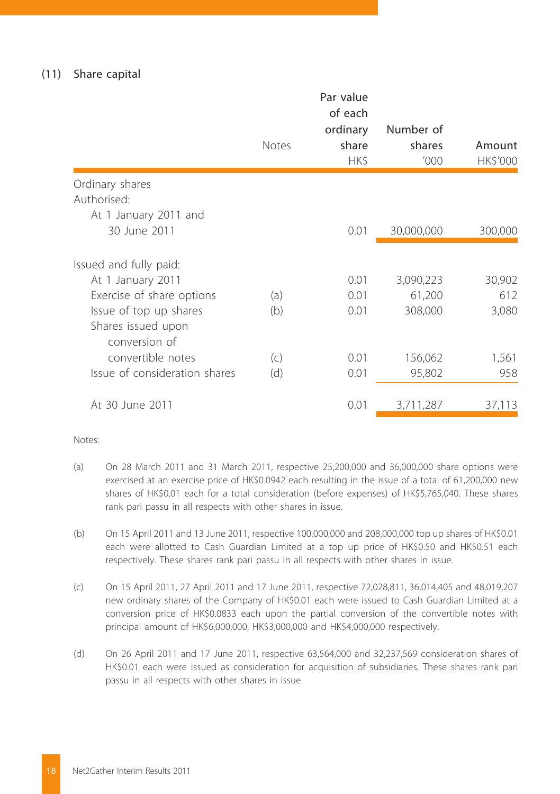#### (11) Share capital

|                                       | <b>Notes</b> | Par value<br>of each<br>ordinary<br>share<br>HK\$ | Number of<br>shares<br>'000 | Amount<br>HK\$'000 |
|---------------------------------------|--------------|---------------------------------------------------|-----------------------------|--------------------|
| Ordinary shares                       |              |                                                   |                             |                    |
| Authorised:                           |              |                                                   |                             |                    |
| At 1 January 2011 and<br>30 June 2011 |              | 0.01                                              | 30,000,000                  | 300,000            |
|                                       |              |                                                   |                             |                    |
| Issued and fully paid:                |              |                                                   |                             |                    |
| At 1 January 2011                     |              | 0.01                                              | 3,090,223                   | 30,902             |
| Exercise of share options             | (a)          | 0.01                                              | 61,200                      | 612                |
| Issue of top up shares                | (b)          | 0.01                                              | 308,000                     | 3,080              |
| Shares issued upon<br>conversion of   |              |                                                   |                             |                    |
| convertible notes                     | (c)          | 0.01                                              | 156,062                     | 1,561              |
| Issue of consideration shares         | (d)          | 0.01                                              | 95,802                      | 958                |
|                                       |              |                                                   |                             |                    |
| At 30 June 2011                       |              | 0.01                                              | 3,711,287                   | 37,113             |

Notes:

- (a) On 28 March 2011 and 31 March 2011, respective 25,200,000 and 36,000,000 share options were exercised at an exercise price of HK\$0.0942 each resulting in the issue of a total of 61,200,000 new shares of HK\$0.01 each for a total consideration (before expenses) of HK\$5,765,040. These shares rank pari passu in all respects with other shares in issue.
- (b) On 15 April 2011 and 13 June 2011, respective 100,000,000 and 208,000,000 top up shares of HK\$0.01 each were allotted to Cash Guardian Limited at a top up price of HK\$0.50 and HK\$0.51 each respectively. These shares rank pari passu in all respects with other shares in issue.
- (c) On 15 April 2011, 27 April 2011 and 17 June 2011, respective 72,028,811, 36,014,405 and 48,019,207 new ordinary shares of the Company of HK\$0.01 each were issued to Cash Guardian Limited at a conversion price of HK\$0.0833 each upon the partial conversion of the convertible notes with principal amount of HK\$6,000,000, HK\$3,000,000 and HK\$4,000,000 respectively.
- (d) On 26 April 2011 and 17 June 2011, respective 63,564,000 and 32,237,569 consideration shares of HK\$0.01 each were issued as consideration for acquisition of subsidiaries. These shares rank pari passu in all respects with other shares in issue.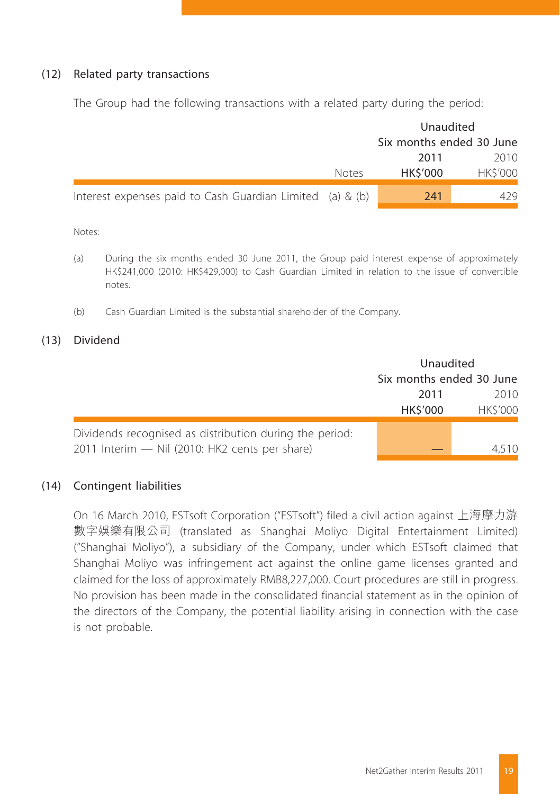#### (12) Related party transactions

The Group had the following transactions with a related party during the period:

|                                                           |              | Unaudited                |                |  |
|-----------------------------------------------------------|--------------|--------------------------|----------------|--|
|                                                           |              | Six months ended 30 June |                |  |
|                                                           |              | 2011                     | 2010           |  |
|                                                           | <b>Notes</b> | <b>HKS'000</b>           | <b>HKS'000</b> |  |
| Interest expenses paid to Cash Guardian Limited (a) & (b) |              | 241                      | 429            |  |

Notes:

- (a) During the six months ended 30 June 2011, the Group paid interest expense of approximately HK\$241,000 (2010: HK\$429,000) to Cash Guardian Limited in relation to the issue of convertible notes.
- (b) Cash Guardian Limited is the substantial shareholder of the Company.

#### (13) Dividend

|                                                         | Unaudited                |                |  |
|---------------------------------------------------------|--------------------------|----------------|--|
|                                                         | Six months ended 30 June |                |  |
|                                                         | 2011                     | 2010           |  |
|                                                         | HK\$'000                 | <b>HKS'000</b> |  |
| Dividends recognised as distribution during the period: |                          |                |  |
| 2011 Interim - Nil (2010: HK2 cents per share)          |                          |                |  |

#### (14) Contingent liabilities

On 16 March 2010, ESTsoft Corporation ("ESTsoft") filed a civil action against 上海摩力游 數字娛樂有限公司 (translated as Shanghai Moliyo Digital Entertainment Limited) ("Shanghai Moliyo"), a subsidiary of the Company, under which ESTsoft claimed that Shanghai Moliyo was infringement act against the online game licenses granted and claimed for the loss of approximately RMB8,227,000. Court procedures are still in progress. No provision has been made in the consolidated financial statement as in the opinion of the directors of the Company, the potential liability arising in connection with the case is not probable.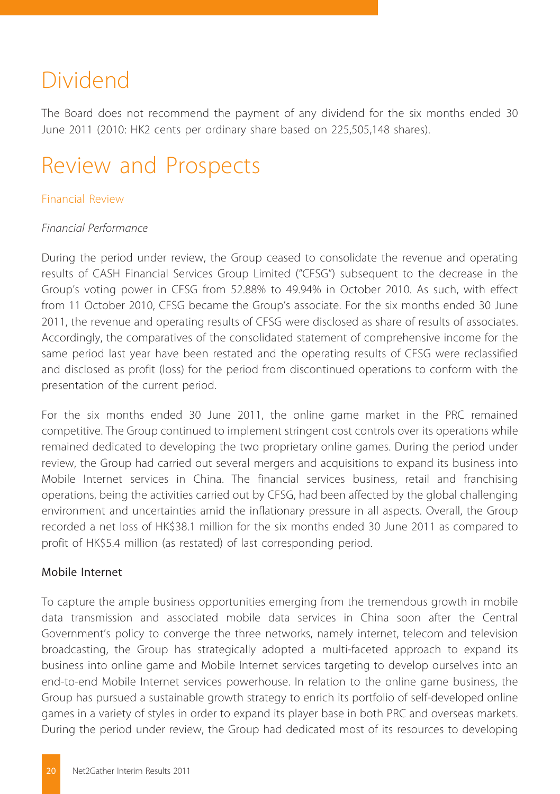## Dividend

The Board does not recommend the payment of any dividend for the six months ended 30 June 2011 (2010: HK2 cents per ordinary share based on 225,505,148 shares).

## Review and Prospects

#### Financial Review

#### *Financial Performance*

During the period under review, the Group ceased to consolidate the revenue and operating results of CASH Financial Services Group Limited ("CFSG") subsequent to the decrease in the Group's voting power in CFSG from 52.88% to 49.94% in October 2010. As such, with effect from 11 October 2010, CFSG became the Group's associate. For the six months ended 30 June 2011, the revenue and operating results of CFSG were disclosed as share of results of associates. Accordingly, the comparatives of the consolidated statement of comprehensive income for the same period last year have been restated and the operating results of CFSG were reclassified and disclosed as profit (loss) for the period from discontinued operations to conform with the presentation of the current period.

For the six months ended 30 June 2011, the online game market in the PRC remained competitive. The Group continued to implement stringent cost controls over its operations while remained dedicated to developing the two proprietary online games. During the period under review, the Group had carried out several mergers and acquisitions to expand its business into Mobile Internet services in China. The financial services business, retail and franchising operations, being the activities carried out by CFSG, had been affected by the global challenging environment and uncertainties amid the inflationary pressure in all aspects. Overall, the Group recorded a net loss of HK\$38.1 million for the six months ended 30 June 2011 as compared to profit of HK\$5.4 million (as restated) of last corresponding period.

#### Mobile Internet

To capture the ample business opportunities emerging from the tremendous growth in mobile data transmission and associated mobile data services in China soon after the Central Government's policy to converge the three networks, namely internet, telecom and television broadcasting, the Group has strategically adopted a multi-faceted approach to expand its business into online game and Mobile Internet services targeting to develop ourselves into an end-to-end Mobile Internet services powerhouse. In relation to the online game business, the Group has pursued a sustainable growth strategy to enrich its portfolio of self-developed online games in a variety of styles in order to expand its player base in both PRC and overseas markets. During the period under review, the Group had dedicated most of its resources to developing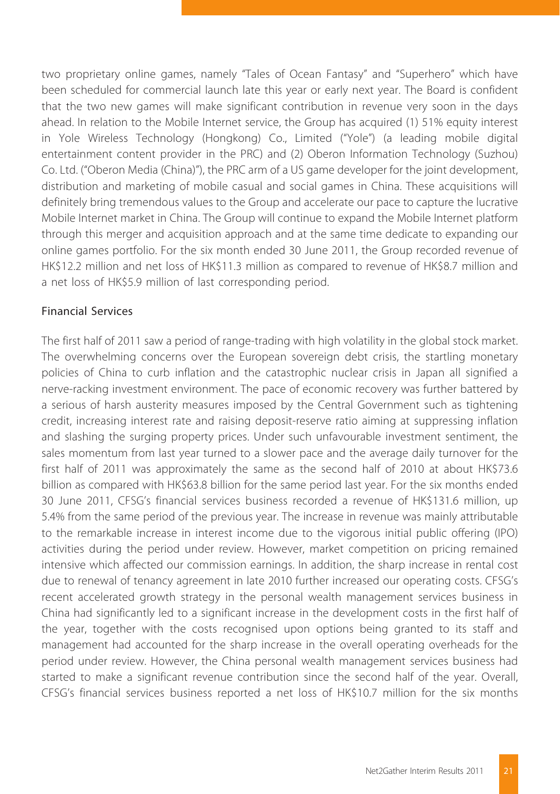two proprietary online games, namely "Tales of Ocean Fantasy" and "Superhero" which have been scheduled for commercial launch late this year or early next year. The Board is confident that the two new games will make significant contribution in revenue very soon in the days ahead. In relation to the Mobile Internet service, the Group has acquired (1) 51% equity interest in Yole Wireless Technology (Hongkong) Co., Limited ("Yole") (a leading mobile digital entertainment content provider in the PRC) and (2) Oberon Information Technology (Suzhou) Co. Ltd. ("Oberon Media (China)"), the PRC arm of a US game developer for the joint development, distribution and marketing of mobile casual and social games in China. These acquisitions will definitely bring tremendous values to the Group and accelerate our pace to capture the lucrative Mobile Internet market in China. The Group will continue to expand the Mobile Internet platform through this merger and acquisition approach and at the same time dedicate to expanding our online games portfolio. For the six month ended 30 June 2011, the Group recorded revenue of HK\$12.2 million and net loss of HK\$11.3 million as compared to revenue of HK\$8.7 million and a net loss of HK\$5.9 million of last corresponding period.

#### Financial Services

The first half of 2011 saw a period of range-trading with high volatility in the global stock market. The overwhelming concerns over the European sovereign debt crisis, the startling monetary policies of China to curb inflation and the catastrophic nuclear crisis in Japan all signified a nerve-racking investment environment. The pace of economic recovery was further battered by a serious of harsh austerity measures imposed by the Central Government such as tightening credit, increasing interest rate and raising deposit-reserve ratio aiming at suppressing inflation and slashing the surging property prices. Under such unfavourable investment sentiment, the sales momentum from last year turned to a slower pace and the average daily turnover for the first half of 2011 was approximately the same as the second half of 2010 at about HK\$73.6 billion as compared with HK\$63.8 billion for the same period last year. For the six months ended 30 June 2011, CFSG's financial services business recorded a revenue of HK\$131.6 million, up 5.4% from the same period of the previous year. The increase in revenue was mainly attributable to the remarkable increase in interest income due to the vigorous initial public offering (IPO) activities during the period under review. However, market competition on pricing remained intensive which affected our commission earnings. In addition, the sharp increase in rental cost due to renewal of tenancy agreement in late 2010 further increased our operating costs. CFSG's recent accelerated growth strategy in the personal wealth management services business in China had significantly led to a significant increase in the development costs in the first half of the year, together with the costs recognised upon options being granted to its staff and management had accounted for the sharp increase in the overall operating overheads for the period under review. However, the China personal wealth management services business had started to make a significant revenue contribution since the second half of the year. Overall, CFSG's financial services business reported a net loss of HK\$10.7 million for the six months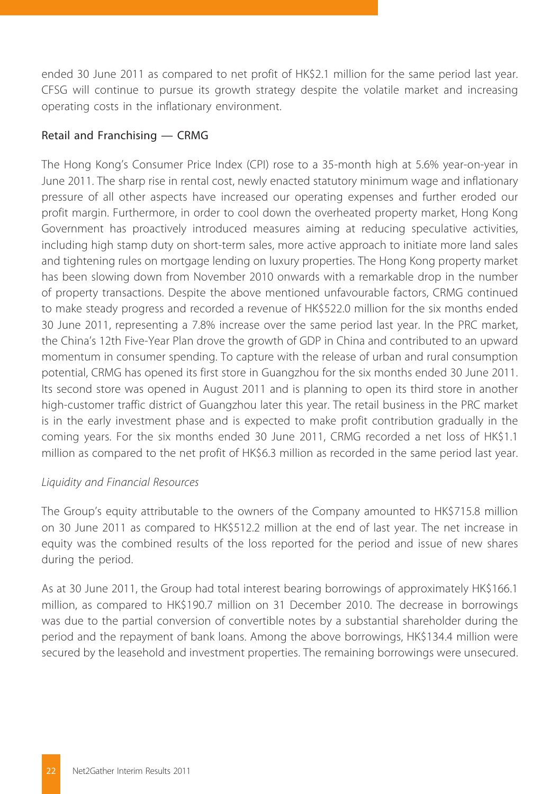ended 30 June 2011 as compared to net profit of HK\$2.1 million for the same period last year. CFSG will continue to pursue its growth strategy despite the volatile market and increasing operating costs in the inflationary environment.

#### Retail and Franchising — CRMG

The Hong Kong's Consumer Price Index (CPI) rose to a 35-month high at 5.6% year-on-year in June 2011. The sharp rise in rental cost, newly enacted statutory minimum wage and inflationary pressure of all other aspects have increased our operating expenses and further eroded our profit margin. Furthermore, in order to cool down the overheated property market, Hong Kong Government has proactively introduced measures aiming at reducing speculative activities, including high stamp duty on short-term sales, more active approach to initiate more land sales and tightening rules on mortgage lending on luxury properties. The Hong Kong property market has been slowing down from November 2010 onwards with a remarkable drop in the number of property transactions. Despite the above mentioned unfavourable factors, CRMG continued to make steady progress and recorded a revenue of HK\$522.0 million for the six months ended 30 June 2011, representing a 7.8% increase over the same period last year. In the PRC market, the China's 12th Five-Year Plan drove the growth of GDP in China and contributed to an upward momentum in consumer spending. To capture with the release of urban and rural consumption potential, CRMG has opened its first store in Guangzhou for the six months ended 30 June 2011. Its second store was opened in August 2011 and is planning to open its third store in another high-customer traffic district of Guangzhou later this year. The retail business in the PRC market is in the early investment phase and is expected to make profit contribution gradually in the coming years. For the six months ended 30 June 2011, CRMG recorded a net loss of HK\$1.1 million as compared to the net profit of HK\$6.3 million as recorded in the same period last year.

#### *Liquidity and Financial Resources*

The Group's equity attributable to the owners of the Company amounted to HK\$715.8 million on 30 June 2011 as compared to HK\$512.2 million at the end of last year. The net increase in equity was the combined results of the loss reported for the period and issue of new shares during the period.

As at 30 June 2011, the Group had total interest bearing borrowings of approximately HK\$166.1 million, as compared to HK\$190.7 million on 31 December 2010. The decrease in borrowings was due to the partial conversion of convertible notes by a substantial shareholder during the period and the repayment of bank loans. Among the above borrowings, HK\$134.4 million were secured by the leasehold and investment properties. The remaining borrowings were unsecured.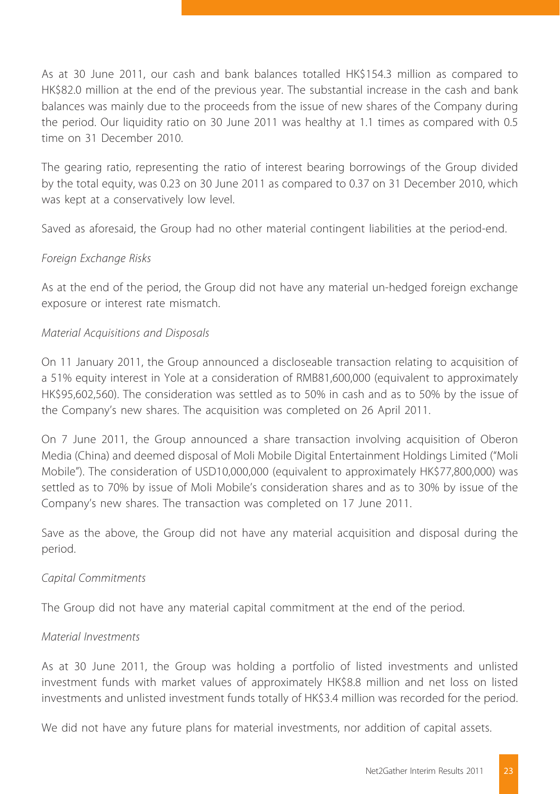As at 30 June 2011, our cash and bank balances totalled HK\$154.3 million as compared to HK\$82.0 million at the end of the previous year. The substantial increase in the cash and bank balances was mainly due to the proceeds from the issue of new shares of the Company during the period. Our liquidity ratio on 30 June 2011 was healthy at 1.1 times as compared with 0.5 time on 31 December 2010.

The gearing ratio, representing the ratio of interest bearing borrowings of the Group divided by the total equity, was 0.23 on 30 June 2011 as compared to 0.37 on 31 December 2010, which was kept at a conservatively low level.

Saved as aforesaid, the Group had no other material contingent liabilities at the period-end.

#### *Foreign Exchange Risks*

As at the end of the period, the Group did not have any material un-hedged foreign exchange exposure or interest rate mismatch.

#### *Material Acquisitions and Disposals*

On 11 January 2011, the Group announced a discloseable transaction relating to acquisition of a 51% equity interest in Yole at a consideration of RMB81,600,000 (equivalent to approximately HK\$95,602,560). The consideration was settled as to 50% in cash and as to 50% by the issue of the Company's new shares. The acquisition was completed on 26 April 2011.

On 7 June 2011, the Group announced a share transaction involving acquisition of Oberon Media (China) and deemed disposal of Moli Mobile Digital Entertainment Holdings Limited ("Moli Mobile"). The consideration of USD10,000,000 (equivalent to approximately HK\$77,800,000) was settled as to 70% by issue of Moli Mobile's consideration shares and as to 30% by issue of the Company's new shares. The transaction was completed on 17 June 2011.

Save as the above, the Group did not have any material acquisition and disposal during the period.

#### *Capital Commitments*

The Group did not have any material capital commitment at the end of the period.

#### *Material Investments*

As at 30 June 2011, the Group was holding a portfolio of listed investments and unlisted investment funds with market values of approximately HK\$8.8 million and net loss on listed investments and unlisted investment funds totally of HK\$3.4 million was recorded for the period.

We did not have any future plans for material investments, nor addition of capital assets.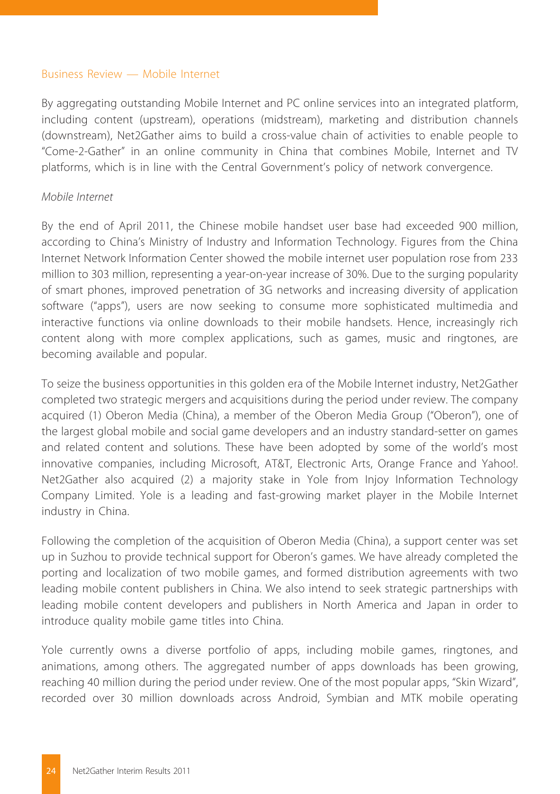#### Business Review — Mobile Internet

By aggregating outstanding Mobile Internet and PC online services into an integrated platform, including content (upstream), operations (midstream), marketing and distribution channels (downstream), Net2Gather aims to build a cross-value chain of activities to enable people to "Come-2-Gather" in an online community in China that combines Mobile, Internet and TV platforms, which is in line with the Central Government's policy of network convergence.

#### *Mobile Internet*

By the end of April 2011, the Chinese mobile handset user base had exceeded 900 million, according to China's Ministry of Industry and Information Technology. Figures from the China Internet Network Information Center showed the mobile internet user population rose from 233 million to 303 million, representing a year-on-year increase of 30%. Due to the surging popularity of smart phones, improved penetration of 3G networks and increasing diversity of application software ("apps"), users are now seeking to consume more sophisticated multimedia and interactive functions via online downloads to their mobile handsets. Hence, increasingly rich content along with more complex applications, such as games, music and ringtones, are becoming available and popular.

To seize the business opportunities in this golden era of the Mobile Internet industry, Net2Gather completed two strategic mergers and acquisitions during the period under review. The company acquired (1) Oberon Media (China), a member of the Oberon Media Group ("Oberon"), one of the largest global mobile and social game developers and an industry standard-setter on games and related content and solutions. These have been adopted by some of the world's most innovative companies, including Microsoft, AT&T, Electronic Arts, Orange France and Yahoo!. Net2Gather also acquired (2) a majority stake in Yole from Injoy Information Technology Company Limited. Yole is a leading and fast-growing market player in the Mobile Internet industry in China.

Following the completion of the acquisition of Oberon Media (China), a support center was set up in Suzhou to provide technical support for Oberon's games. We have already completed the porting and localization of two mobile games, and formed distribution agreements with two leading mobile content publishers in China. We also intend to seek strategic partnerships with leading mobile content developers and publishers in North America and Japan in order to introduce quality mobile game titles into China.

Yole currently owns a diverse portfolio of apps, including mobile games, ringtones, and animations, among others. The aggregated number of apps downloads has been growing, reaching 40 million during the period under review. One of the most popular apps, "Skin Wizard", recorded over 30 million downloads across Android, Symbian and MTK mobile operating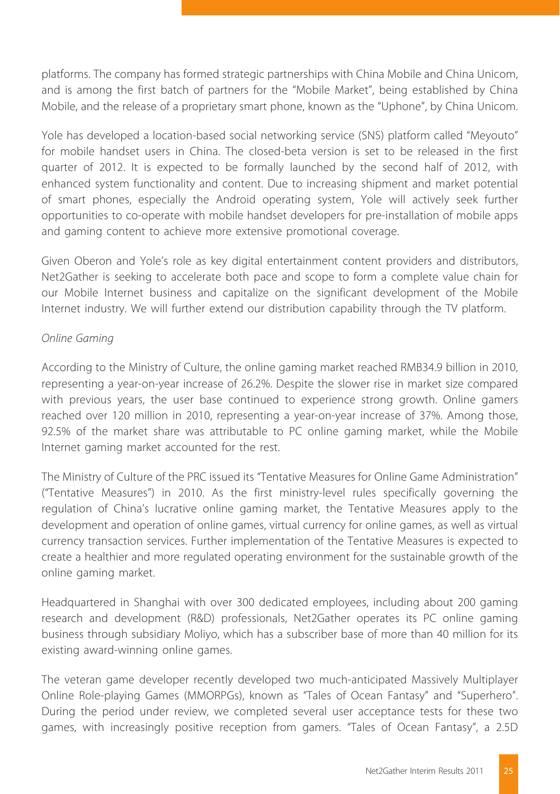platforms. The company has formed strategic partnerships with China Mobile and China Unicom, and is among the first batch of partners for the "Mobile Market", being established by China Mobile, and the release of a proprietary smart phone, known as the "Uphone", by China Unicom.

Yole has developed a location-based social networking service (SNS) platform called "Meyouto" for mobile handset users in China. The closed-beta version is set to be released in the first quarter of 2012. It is expected to be formally launched by the second half of 2012, with enhanced system functionality and content. Due to increasing shipment and market potential of smart phones, especially the Android operating system, Yole will actively seek further opportunities to co-operate with mobile handset developers for pre-installation of mobile apps and gaming content to achieve more extensive promotional coverage.

Given Oberon and Yole's role as key digital entertainment content providers and distributors, Net2Gather is seeking to accelerate both pace and scope to form a complete value chain for our Mobile Internet business and capitalize on the significant development of the Mobile Internet industry. We will further extend our distribution capability through the TV platform.

#### *Online Gaming*

According to the Ministry of Culture, the online gaming market reached RMB34.9 billion in 2010, representing a year-on-year increase of 26.2%. Despite the slower rise in market size compared with previous years, the user base continued to experience strong growth. Online gamers reached over 120 million in 2010, representing a year-on-year increase of 37%. Among those, 92.5% of the market share was attributable to PC online gaming market, while the Mobile Internet gaming market accounted for the rest.

The Ministry of Culture of the PRC issued its "Tentative Measures for Online Game Administration" ("Tentative Measures") in 2010. As the first ministry-level rules specifically governing the regulation of China's lucrative online gaming market, the Tentative Measures apply to the development and operation of online games, virtual currency for online games, as well as virtual currency transaction services. Further implementation of the Tentative Measures is expected to create a healthier and more regulated operating environment for the sustainable growth of the online gaming market.

Headquartered in Shanghai with over 300 dedicated employees, including about 200 gaming research and development (R&D) professionals, Net2Gather operates its PC online gaming business through subsidiary Moliyo, which has a subscriber base of more than 40 million for its existing award-winning online games.

The veteran game developer recently developed two much-anticipated Massively Multiplayer Online Role-playing Games (MMORPGs), known as "Tales of Ocean Fantasy" and "Superhero". During the period under review, we completed several user acceptance tests for these two games, with increasingly positive reception from gamers. "Tales of Ocean Fantasy", a 2.5D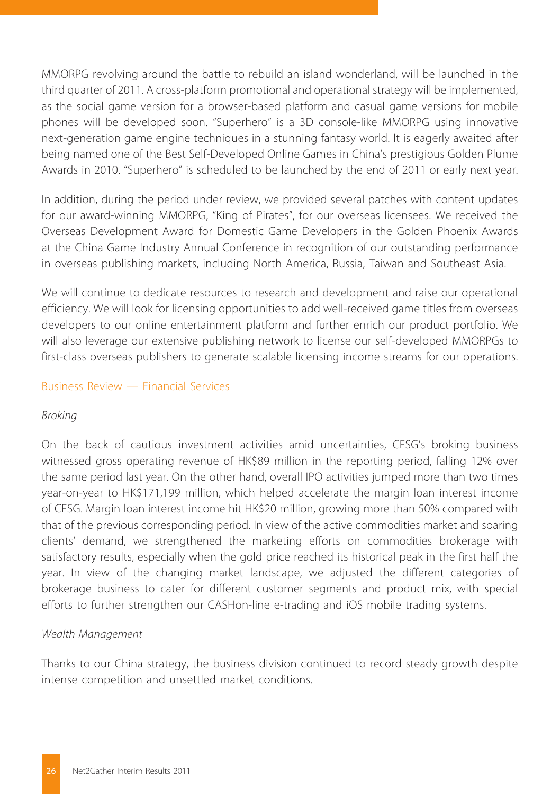MMORPG revolving around the battle to rebuild an island wonderland, will be launched in the third quarter of 2011. A cross-platform promotional and operational strategy will be implemented, as the social game version for a browser-based platform and casual game versions for mobile phones will be developed soon. "Superhero" is a 3D console-like MMORPG using innovative next-generation game engine techniques in a stunning fantasy world. It is eagerly awaited after being named one of the Best Self-Developed Online Games in China's prestigious Golden Plume Awards in 2010. "Superhero" is scheduled to be launched by the end of 2011 or early next year.

In addition, during the period under review, we provided several patches with content updates for our award-winning MMORPG, "King of Pirates", for our overseas licensees. We received the Overseas Development Award for Domestic Game Developers in the Golden Phoenix Awards at the China Game Industry Annual Conference in recognition of our outstanding performance in overseas publishing markets, including North America, Russia, Taiwan and Southeast Asia.

We will continue to dedicate resources to research and development and raise our operational efficiency. We will look for licensing opportunities to add well-received game titles from overseas developers to our online entertainment platform and further enrich our product portfolio. We will also leverage our extensive publishing network to license our self-developed MMORPGs to first-class overseas publishers to generate scalable licensing income streams for our operations.

#### Business Review — Financial Services

#### *Broking*

On the back of cautious investment activities amid uncertainties, CFSG's broking business witnessed gross operating revenue of HK\$89 million in the reporting period, falling 12% over the same period last year. On the other hand, overall IPO activities jumped more than two times year-on-year to HK\$171,199 million, which helped accelerate the margin loan interest income of CFSG. Margin loan interest income hit HK\$20 million, growing more than 50% compared with that of the previous corresponding period. In view of the active commodities market and soaring clients' demand, we strengthened the marketing efforts on commodities brokerage with satisfactory results, especially when the gold price reached its historical peak in the first half the year. In view of the changing market landscape, we adjusted the different categories of brokerage business to cater for different customer segments and product mix, with special efforts to further strengthen our CASHon-line e-trading and iOS mobile trading systems.

#### *Wealth Management*

Thanks to our China strategy, the business division continued to record steady growth despite intense competition and unsettled market conditions.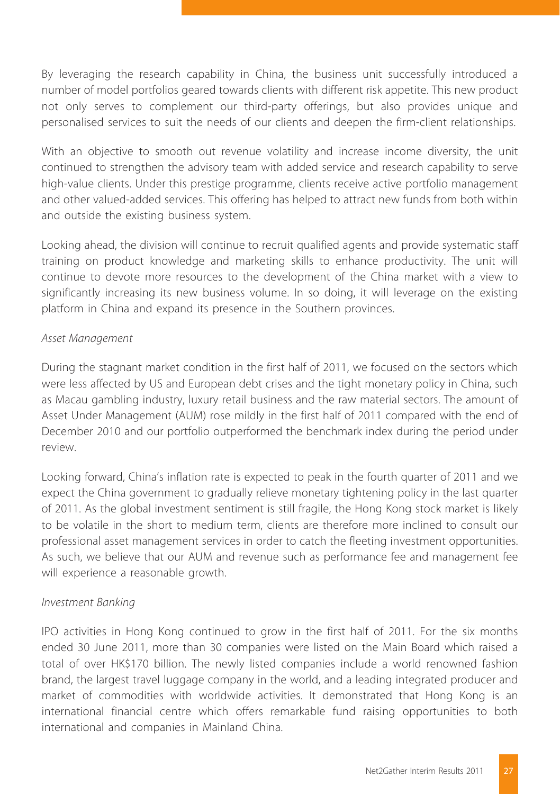By leveraging the research capability in China, the business unit successfully introduced a number of model portfolios geared towards clients with different risk appetite. This new product not only serves to complement our third-party offerings, but also provides unique and personalised services to suit the needs of our clients and deepen the firm-client relationships.

With an objective to smooth out revenue volatility and increase income diversity, the unit continued to strengthen the advisory team with added service and research capability to serve high-value clients. Under this prestige programme, clients receive active portfolio management and other valued-added services. This offering has helped to attract new funds from both within and outside the existing business system.

Looking ahead, the division will continue to recruit qualified agents and provide systematic staff training on product knowledge and marketing skills to enhance productivity. The unit will continue to devote more resources to the development of the China market with a view to significantly increasing its new business volume. In so doing, it will leverage on the existing platform in China and expand its presence in the Southern provinces.

#### *Asset Management*

During the stagnant market condition in the first half of 2011, we focused on the sectors which were less affected by US and European debt crises and the tight monetary policy in China, such as Macau gambling industry, luxury retail business and the raw material sectors. The amount of Asset Under Management (AUM) rose mildly in the first half of 2011 compared with the end of December 2010 and our portfolio outperformed the benchmark index during the period under review.

Looking forward, China's inflation rate is expected to peak in the fourth quarter of 2011 and we expect the China government to gradually relieve monetary tightening policy in the last quarter of 2011. As the global investment sentiment is still fragile, the Hong Kong stock market is likely to be volatile in the short to medium term, clients are therefore more inclined to consult our professional asset management services in order to catch the fleeting investment opportunities. As such, we believe that our AUM and revenue such as performance fee and management fee will experience a reasonable growth.

#### *Investment Banking*

IPO activities in Hong Kong continued to grow in the first half of 2011. For the six months ended 30 June 2011, more than 30 companies were listed on the Main Board which raised a total of over HK\$170 billion. The newly listed companies include a world renowned fashion brand, the largest travel luggage company in the world, and a leading integrated producer and market of commodities with worldwide activities. It demonstrated that Hong Kong is an international financial centre which offers remarkable fund raising opportunities to both international and companies in Mainland China.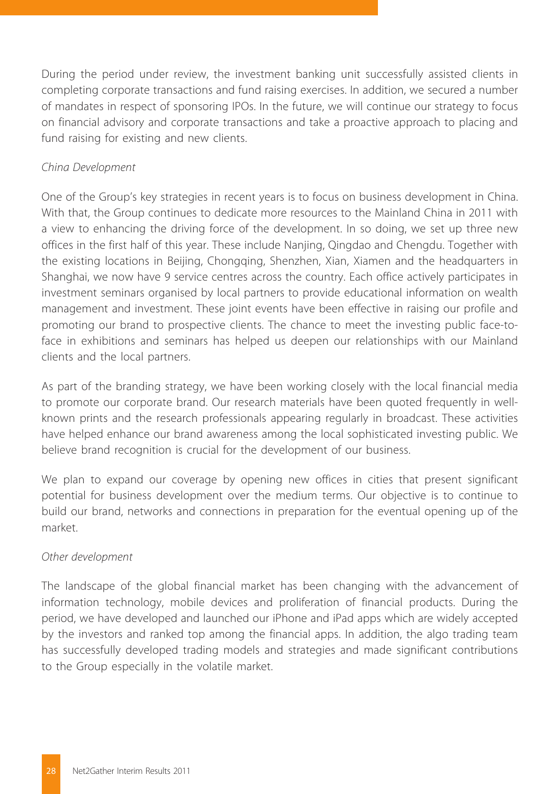During the period under review, the investment banking unit successfully assisted clients in completing corporate transactions and fund raising exercises. In addition, we secured a number of mandates in respect of sponsoring IPOs. In the future, we will continue our strategy to focus on financial advisory and corporate transactions and take a proactive approach to placing and fund raising for existing and new clients.

#### *China Development*

One of the Group's key strategies in recent years is to focus on business development in China. With that, the Group continues to dedicate more resources to the Mainland China in 2011 with a view to enhancing the driving force of the development. In so doing, we set up three new offices in the first half of this year. These include Nanjing, Qingdao and Chengdu. Together with the existing locations in Beijing, Chongqing, Shenzhen, Xian, Xiamen and the headquarters in Shanghai, we now have 9 service centres across the country. Each office actively participates in investment seminars organised by local partners to provide educational information on wealth management and investment. These joint events have been effective in raising our profile and promoting our brand to prospective clients. The chance to meet the investing public face-toface in exhibitions and seminars has helped us deepen our relationships with our Mainland clients and the local partners.

As part of the branding strategy, we have been working closely with the local financial media to promote our corporate brand. Our research materials have been quoted frequently in wellknown prints and the research professionals appearing regularly in broadcast. These activities have helped enhance our brand awareness among the local sophisticated investing public. We believe brand recognition is crucial for the development of our business.

We plan to expand our coverage by opening new offices in cities that present significant potential for business development over the medium terms. Our objective is to continue to build our brand, networks and connections in preparation for the eventual opening up of the market.

#### *Other development*

The landscape of the global financial market has been changing with the advancement of information technology, mobile devices and proliferation of financial products. During the period, we have developed and launched our iPhone and iPad apps which are widely accepted by the investors and ranked top among the financial apps. In addition, the algo trading team has successfully developed trading models and strategies and made significant contributions to the Group especially in the volatile market.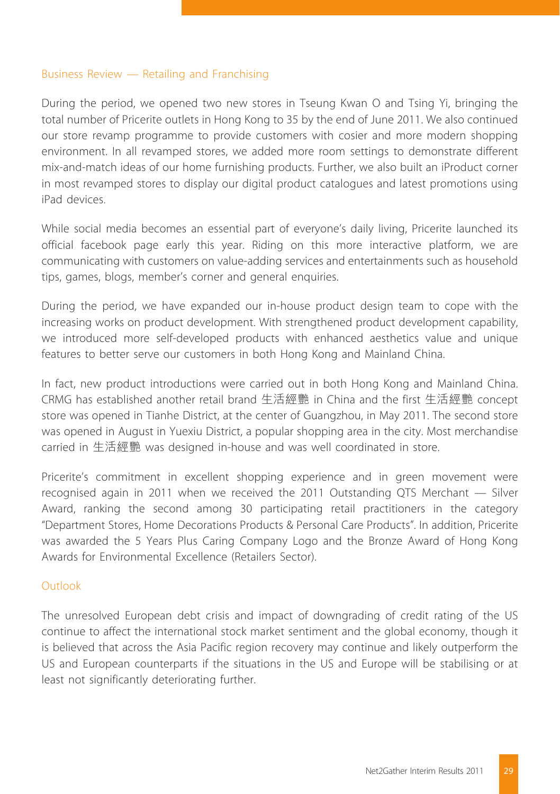#### Business Review — Retailing and Franchising

During the period, we opened two new stores in Tseung Kwan O and Tsing Yi, bringing the total number of Pricerite outlets in Hong Kong to 35 by the end of June 2011. We also continued our store revamp programme to provide customers with cosier and more modern shopping environment. In all revamped stores, we added more room settings to demonstrate different mix-and-match ideas of our home furnishing products. Further, we also built an iProduct corner in most revamped stores to display our digital product catalogues and latest promotions using iPad devices.

While social media becomes an essential part of everyone's daily living, Pricerite launched its official facebook page early this year. Riding on this more interactive platform, we are communicating with customers on value-adding services and entertainments such as household tips, games, blogs, member's corner and general enquiries.

During the period, we have expanded our in-house product design team to cope with the increasing works on product development. With strengthened product development capability, we introduced more self-developed products with enhanced aesthetics value and unique features to better serve our customers in both Hong Kong and Mainland China.

In fact, new product introductions were carried out in both Hong Kong and Mainland China. CRMG has established another retail brand 生活經艷 in China and the first 生活經艷 concept store was opened in Tianhe District, at the center of Guangzhou, in May 2011. The second store was opened in August in Yuexiu District, a popular shopping area in the city. Most merchandise carried in 生活經艷 was designed in-house and was well coordinated in store.

Pricerite's commitment in excellent shopping experience and in green movement were recognised again in 2011 when we received the 2011 Outstanding QTS Merchant — Silver Award, ranking the second among 30 participating retail practitioners in the category "Department Stores, Home Decorations Products & Personal Care Products". In addition, Pricerite was awarded the 5 Years Plus Caring Company Logo and the Bronze Award of Hong Kong Awards for Environmental Excellence (Retailers Sector).

#### Outlook

The unresolved European debt crisis and impact of downgrading of credit rating of the US continue to affect the international stock market sentiment and the global economy, though it is believed that across the Asia Pacific region recovery may continue and likely outperform the US and European counterparts if the situations in the US and Europe will be stabilising or at least not significantly deteriorating further.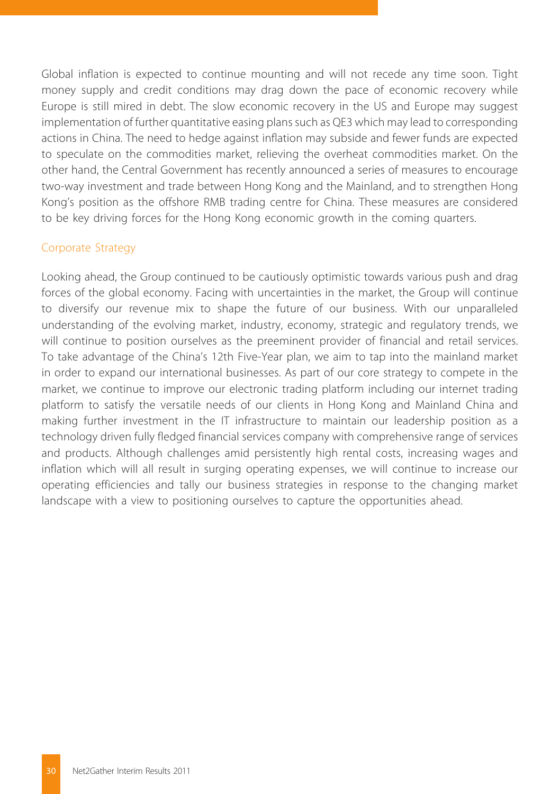Global inflation is expected to continue mounting and will not recede any time soon. Tight money supply and credit conditions may drag down the pace of economic recovery while Europe is still mired in debt. The slow economic recovery in the US and Europe may suggest implementation of further quantitative easing plans such as QE3 which may lead to corresponding actions in China. The need to hedge against inflation may subside and fewer funds are expected to speculate on the commodities market, relieving the overheat commodities market. On the other hand, the Central Government has recently announced a series of measures to encourage two-way investment and trade between Hong Kong and the Mainland, and to strengthen Hong Kong's position as the offshore RMB trading centre for China. These measures are considered to be key driving forces for the Hong Kong economic growth in the coming quarters.

#### Corporate Strategy

Looking ahead, the Group continued to be cautiously optimistic towards various push and drag forces of the global economy. Facing with uncertainties in the market, the Group will continue to diversify our revenue mix to shape the future of our business. With our unparalleled understanding of the evolving market, industry, economy, strategic and regulatory trends, we will continue to position ourselves as the preeminent provider of financial and retail services. To take advantage of the China's 12th Five-Year plan, we aim to tap into the mainland market in order to expand our international businesses. As part of our core strategy to compete in the market, we continue to improve our electronic trading platform including our internet trading platform to satisfy the versatile needs of our clients in Hong Kong and Mainland China and making further investment in the IT infrastructure to maintain our leadership position as a technology driven fully fledged financial services company with comprehensive range of services and products. Although challenges amid persistently high rental costs, increasing wages and inflation which will all result in surging operating expenses, we will continue to increase our operating efficiencies and tally our business strategies in response to the changing market landscape with a view to positioning ourselves to capture the opportunities ahead.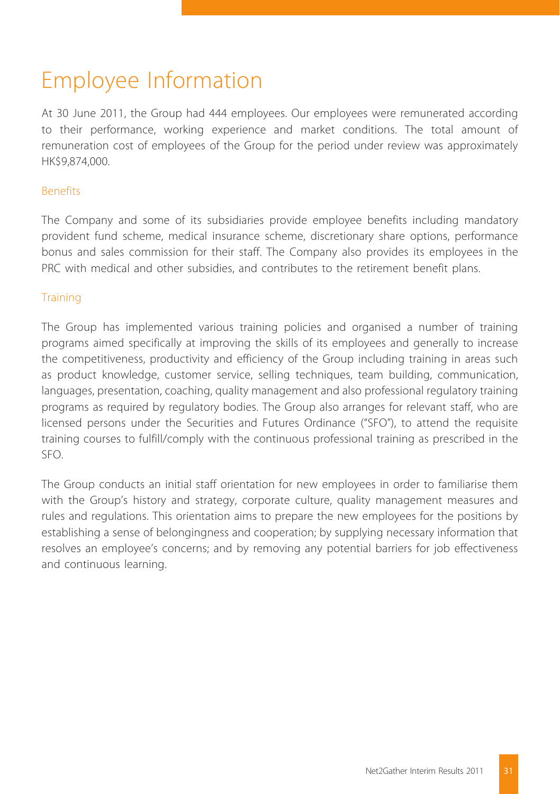## Employee Information

At 30 June 2011, the Group had 444 employees. Our employees were remunerated according to their performance, working experience and market conditions. The total amount of remuneration cost of employees of the Group for the period under review was approximately HK\$9,874,000.

#### Benefits

The Company and some of its subsidiaries provide employee benefits including mandatory provident fund scheme, medical insurance scheme, discretionary share options, performance bonus and sales commission for their staff. The Company also provides its employees in the PRC with medical and other subsidies, and contributes to the retirement benefit plans.

#### **Training**

The Group has implemented various training policies and organised a number of training programs aimed specifically at improving the skills of its employees and generally to increase the competitiveness, productivity and efficiency of the Group including training in areas such as product knowledge, customer service, selling techniques, team building, communication, languages, presentation, coaching, quality management and also professional regulatory training programs as required by regulatory bodies. The Group also arranges for relevant staff, who are licensed persons under the Securities and Futures Ordinance ("SFO"), to attend the requisite training courses to fulfill/comply with the continuous professional training as prescribed in the SFO.

The Group conducts an initial staff orientation for new employees in order to familiarise them with the Group's history and strategy, corporate culture, quality management measures and rules and regulations. This orientation aims to prepare the new employees for the positions by establishing a sense of belongingness and cooperation; by supplying necessary information that resolves an employee's concerns; and by removing any potential barriers for job effectiveness and continuous learning.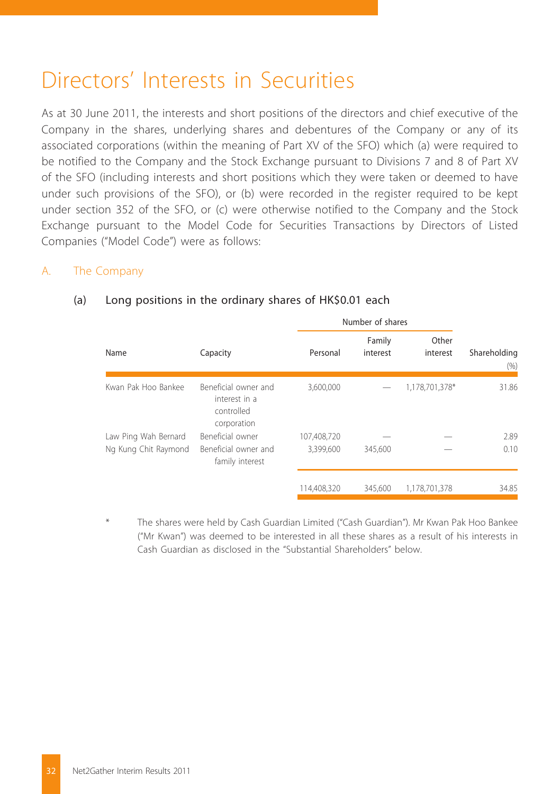## Directors' Interests in Securities

As at 30 June 2011, the interests and short positions of the directors and chief executive of the Company in the shares, underlying shares and debentures of the Company or any of its associated corporations (within the meaning of Part XV of the SFO) which (a) were required to be notified to the Company and the Stock Exchange pursuant to Divisions 7 and 8 of Part XV of the SFO (including interests and short positions which they were taken or deemed to have under such provisions of the SFO), or (b) were recorded in the register required to be kept under section 352 of the SFO, or (c) were otherwise notified to the Company and the Stock Exchange pursuant to the Model Code for Securities Transactions by Directors of Listed Companies ("Model Code") were as follows:

#### A. The Company

#### Number of shares Name Capacity Capacity Personal Family interest Other interest Shareholding (%) Kwan Pak Hoo Bankee Beneficial owner and interest in a controlled corporation 3,600,000 — 1,178,701,378\* 31.86 Law Ping Wah Bernard Beneficial owner 107.408.720  $-$  2.89 Ng Kung Chit Raymond Beneficial owner and family interest 3,399,600 345,600 — 0.10 114,408,320 345,600 1,178,701,378 34.85

#### (a) Long positions in the ordinary shares of HK\$0.01 each

The shares were held by Cash Guardian Limited ("Cash Guardian"). Mr Kwan Pak Hoo Bankee ("Mr Kwan") was deemed to be interested in all these shares as a result of his interests in Cash Guardian as disclosed in the "Substantial Shareholders" below.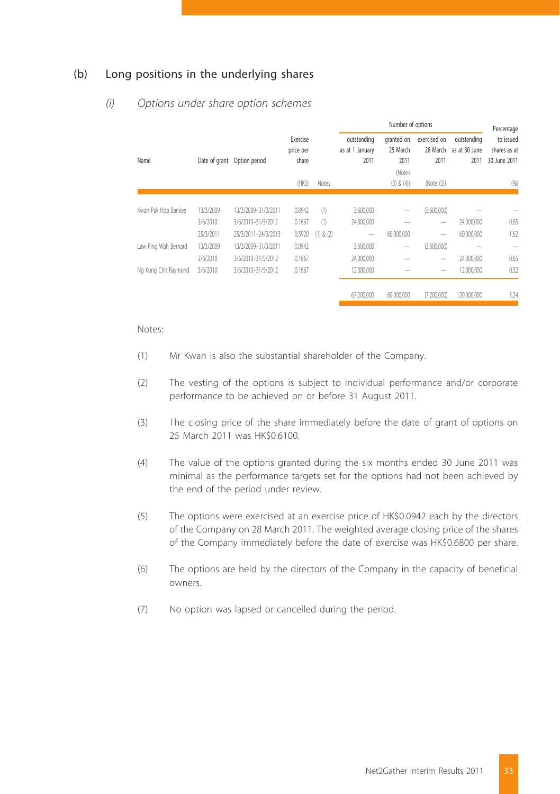#### (b) Long positions in the underlying shares

#### Number of options Percentage to issued 28 March – as at 30 June – shares as at Name Date of grant Option period Exercise price per share outstanding as at 1 January 2011 granted on exercised on outstanding 25 March 2011 2011 2011 30 June 2011 (HK\$) Notes (Notes (3) & (4)) (Note (5)) (%) Kwan Pak Hoo Bankee 13/3/2009 13/3/2009–31/3/2011 0.0942 (1) 3,600,000 — (3,600,000) — — 3/6/2010 3/6/2010–31/5/2012 0.1667 (1) 24,000,000 — — 24,000,000 0.65 25/3/2011 25/3/2011–24/3/2013 0.5920 (1) & (2) — 60,000,000 — 60,000,000 1.62 Law Ping Wah Bernard 13/3/2009 13/3/2009–31/3/2011 0.0942 3,600,000 — (3,600,000) — — 3/6/2010 3/6/2010–31/5/2012 0.1667 24,000,000 — — 24,000,000 0.65 Ng Kung Chit Raymond 3/6/2010 3/6/2010-31/5/2012 0.1667 12,000,000 - - 12,000,000 0.32 67,200,000 60,000,000 (7,200,000) 120,000,000 3.24

#### *(i) Options under share option schemes*

#### Notes:

- (1) Mr Kwan is also the substantial shareholder of the Company.
- (2) The vesting of the options is subject to individual performance and/or corporate performance to be achieved on or before 31 August 2011.
- (3) The closing price of the share immediately before the date of grant of options on 25 March 2011 was HK\$0.6100.
- (4) The value of the options granted during the six months ended 30 June 2011 was minimal as the performance targets set for the options had not been achieved by the end of the period under review.
- (5) The options were exercised at an exercise price of HK\$0.0942 each by the directors of the Company on 28 March 2011. The weighted average closing price of the shares of the Company immediately before the date of exercise was HK\$0.6800 per share.
- (6) The options are held by the directors of the Company in the capacity of beneficial owners.
- (7) No option was lapsed or cancelled during the period.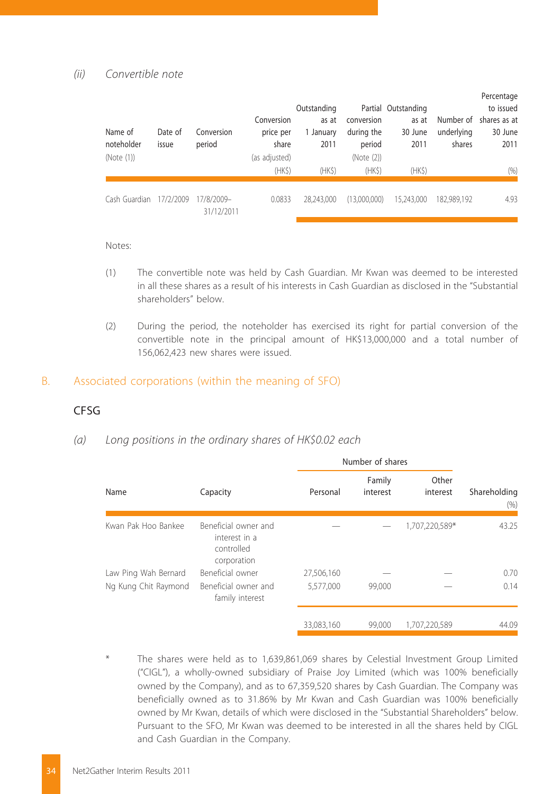#### *(ii) Convertible note*

| Name of<br>noteholder<br>(Note (1)) | Date of<br>issue | Conversion<br>period     | Conversion<br>price per<br>share<br>(as adjusted) | Outstanding<br>as at<br>1 January<br>2011 | conversion<br>during the<br>period<br>(Note (2)) | Partial Outstanding<br>as at<br>30 June<br>2011 | underlying<br>shares | Percentage<br>to issued<br>Number of shares as at<br>30 June<br>2011 |
|-------------------------------------|------------------|--------------------------|---------------------------------------------------|-------------------------------------------|--------------------------------------------------|-------------------------------------------------|----------------------|----------------------------------------------------------------------|
|                                     |                  |                          | (HKS)                                             | (HKS)                                     | (HKS)                                            | (HKS)                                           |                      | (96)                                                                 |
| Cash Guardian                       | 17/2/2009        | 17/8/2009-<br>31/12/2011 | 0.0833                                            | 28.243.000                                | (13,000,000)                                     | 15,243,000                                      | 182.989.192          | 4.93                                                                 |

Notes:

- (1) The convertible note was held by Cash Guardian. Mr Kwan was deemed to be interested in all these shares as a result of his interests in Cash Guardian as disclosed in the "Substantial shareholders" below.
- (2) During the period, the noteholder has exercised its right for partial conversion of the convertible note in the principal amount of HK\$13,000,000 and a total number of 156,062,423 new shares were issued.

#### B. Associated corporations (within the meaning of SFO)

#### CFSG

#### *(a) Long positions in the ordinary shares of HK\$0.02 each*

|                      |                                                                    |            | Number of shares   |                   |                      |
|----------------------|--------------------------------------------------------------------|------------|--------------------|-------------------|----------------------|
| Name                 | Capacity                                                           | Personal   | Family<br>interest | Other<br>interest | Shareholding<br>(96) |
| Kwan Pak Hoo Bankee  | Beneficial owner and<br>interest in a<br>controlled<br>corporation |            |                    | 1,707,220,589*    | 43.25                |
| Law Ping Wah Bernard | Beneficial owner                                                   | 27,506,160 |                    |                   | 0.70                 |
| Ng Kung Chit Raymond | Beneficial owner and<br>family interest                            | 5,577,000  | 99,000             |                   | 0.14                 |
|                      |                                                                    | 33.083.160 | 99,000             | 1.707.220.589     | 44.09                |

The shares were held as to 1,639,861,069 shares by Celestial Investment Group Limited ("CIGL"), a wholly-owned subsidiary of Praise Joy Limited (which was 100% beneficially owned by the Company), and as to 67,359,520 shares by Cash Guardian. The Company was beneficially owned as to 31.86% by Mr Kwan and Cash Guardian was 100% beneficially owned by Mr Kwan, details of which were disclosed in the "Substantial Shareholders" below. Pursuant to the SFO, Mr Kwan was deemed to be interested in all the shares held by CIGL and Cash Guardian in the Company.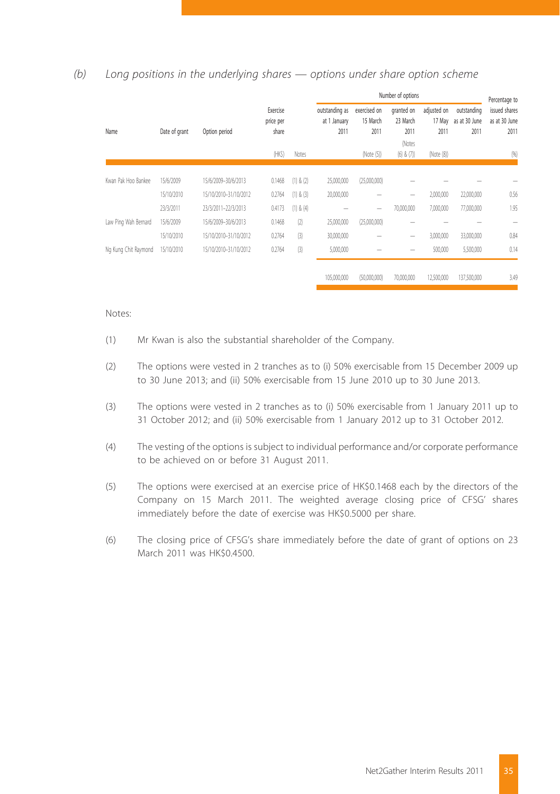#### *(b) Long positions in the underlying shares — options under share option scheme*

|                      |               |                       |                                |               |                                        |                                  | Number of options                        |                               |                                      | Percentage to                          |
|----------------------|---------------|-----------------------|--------------------------------|---------------|----------------------------------------|----------------------------------|------------------------------------------|-------------------------------|--------------------------------------|----------------------------------------|
| Name                 | Date of grant | Option period         | Exercise<br>price per<br>share |               | outstanding as<br>at 1 January<br>2011 | exercised on<br>15 March<br>2011 | granted on<br>23 March<br>2011<br>(Notes | adjusted on<br>17 May<br>2011 | outstanding<br>as at 30 June<br>2011 | issued shares<br>as at 30 June<br>2011 |
|                      |               |                       | (HKS)                          | <b>Notes</b>  |                                        | (Note (5))                       | $(6)$ & $(7)$                            | (Note (8))                    |                                      | (96)                                   |
|                      |               |                       |                                |               |                                        |                                  |                                          |                               |                                      |                                        |
| Kwan Pak Hoo Bankee  | 15/6/2009     | 15/6/2009-30/6/2013   | 0.1468                         | $(1)$ & $(2)$ | 25,000,000                             | (25,000,000)                     |                                          |                               |                                      |                                        |
|                      | 15/10/2010    | 15/10/2010-31/10/2012 | 0.2764                         | (1) & (3)     | 20,000,000                             |                                  | -                                        | 2,000,000                     | 22,000,000                           | 0.56                                   |
|                      | 23/3/2011     | 23/3/2011-22/3/2013   | 0.4173                         | $(1)$ & $(4)$ |                                        | -                                | 70,000,000                               | 7,000,000                     | 77,000,000                           | 1.95                                   |
| Law Ping Wah Bernard | 15/6/2009     | 15/6/2009-30/6/2013   | 0.1468                         | (2)           | 25,000,000                             | (25,000,000)                     |                                          |                               |                                      |                                        |
|                      | 15/10/2010    | 15/10/2010-31/10/2012 | 0.2764                         | (3)           | 30,000,000                             |                                  | $\overline{\phantom{a}}$                 | 3,000,000                     | 33,000,000                           | 0.84                                   |
| Ng Kung Chit Raymond | 15/10/2010    | 15/10/2010-31/10/2012 | 0.2764                         | (3)           | 5,000,000                              |                                  |                                          | 500,000                       | 5,500,000                            | 0.14                                   |
|                      |               |                       |                                |               |                                        |                                  |                                          |                               |                                      |                                        |
|                      |               |                       |                                |               | 105,000,000                            | (50,000,000)                     | 70,000,000                               | 12,500,000                    | 137,500,000                          | 3.49                                   |

#### Notes:

- (1) Mr Kwan is also the substantial shareholder of the Company.
- (2) The options were vested in 2 tranches as to (i) 50% exercisable from 15 December 2009 up to 30 June 2013; and (ii) 50% exercisable from 15 June 2010 up to 30 June 2013.
- (3) The options were vested in 2 tranches as to (i) 50% exercisable from 1 January 2011 up to 31 October 2012; and (ii) 50% exercisable from 1 January 2012 up to 31 October 2012.
- (4) The vesting of the options is subject to individual performance and/or corporate performance to be achieved on or before 31 August 2011.
- (5) The options were exercised at an exercise price of HK\$0.1468 each by the directors of the Company on 15 March 2011. The weighted average closing price of CFSG' shares immediately before the date of exercise was HK\$0.5000 per share.
- (6) The closing price of CFSG's share immediately before the date of grant of options on 23 March 2011 was HK\$0.4500.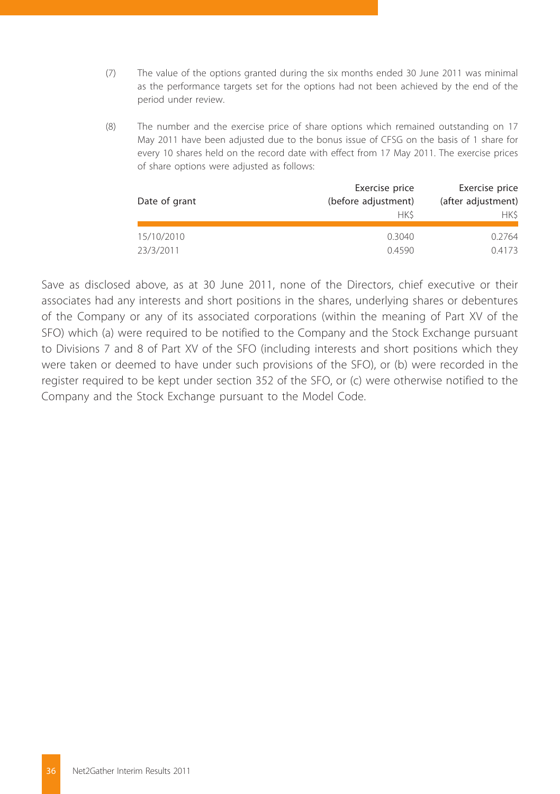- (7) The value of the options granted during the six months ended 30 June 2011 was minimal as the performance targets set for the options had not been achieved by the end of the period under review.
- (8) The number and the exercise price of share options which remained outstanding on 17 May 2011 have been adjusted due to the bonus issue of CFSG on the basis of 1 share for every 10 shares held on the record date with effect from 17 May 2011. The exercise prices of share options were adjusted as follows:

|               | Exercise price      | Exercise price     |
|---------------|---------------------|--------------------|
| Date of grant | (before adjustment) | (after adjustment) |
|               | <b>HKS</b>          | HK\$.              |
| 15/10/2010    | 0.3040              | 0.2764             |
| 23/3/2011     | 0.4590              | 0.4173             |

Save as disclosed above, as at 30 June 2011, none of the Directors, chief executive or their associates had any interests and short positions in the shares, underlying shares or debentures of the Company or any of its associated corporations (within the meaning of Part XV of the SFO) which (a) were required to be notified to the Company and the Stock Exchange pursuant to Divisions 7 and 8 of Part XV of the SFO (including interests and short positions which they were taken or deemed to have under such provisions of the SFO), or (b) were recorded in the register required to be kept under section 352 of the SFO, or (c) were otherwise notified to the Company and the Stock Exchange pursuant to the Model Code.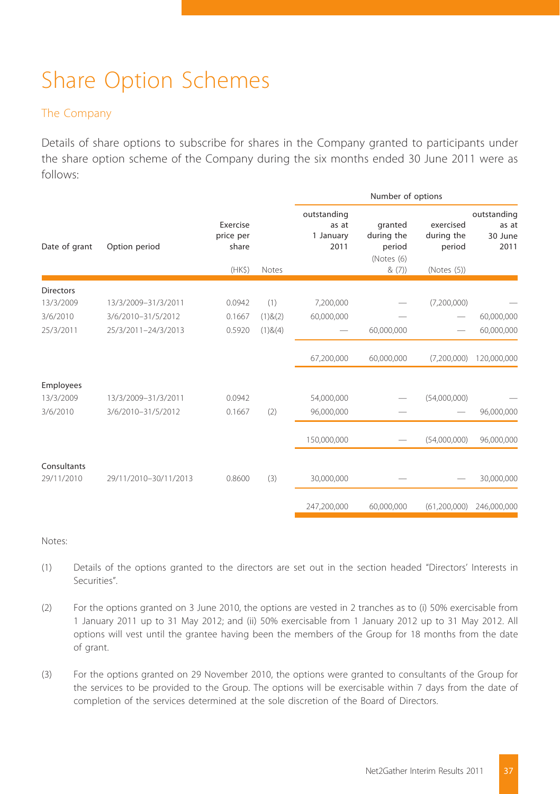# Share Option Schemes

#### The Company

Details of share options to subscribe for shares in the Company granted to participants under the share option scheme of the Company during the six months ended 30 June 2011 were as follows:

|                  |                       |                                                      |               |                                           | Number of options                                       |                                                  |                                         |
|------------------|-----------------------|------------------------------------------------------|---------------|-------------------------------------------|---------------------------------------------------------|--------------------------------------------------|-----------------------------------------|
| Date of grant    | Option period         | Exercise<br>price per<br>share<br>(HK <sub>5</sub> ) | Notes         | outstanding<br>as at<br>1 January<br>2011 | granted<br>during the<br>period<br>(Notes (6)<br>& (7)) | exercised<br>during the<br>period<br>(Notes (5)) | outstanding<br>as at<br>30 June<br>2011 |
| <b>Directors</b> |                       |                                                      |               |                                           |                                                         |                                                  |                                         |
| 13/3/2009        | 13/3/2009-31/3/2011   | 0.0942                                               | (1)           | 7,200,000                                 |                                                         | (7,200,000)                                      |                                         |
| 3/6/2010         | 3/6/2010-31/5/2012    | 0.1667                                               | $(1)$ & $(2)$ | 60,000,000                                |                                                         |                                                  | 60,000,000                              |
| 25/3/2011        | 25/3/2011-24/3/2013   | 0.5920                                               | $(1)$ & $(4)$ |                                           | 60,000,000                                              |                                                  | 60,000,000                              |
|                  |                       |                                                      |               | 67,200,000                                | 60,000,000                                              | (7,200,000)                                      | 120,000,000                             |
| Employees        |                       |                                                      |               |                                           |                                                         |                                                  |                                         |
| 13/3/2009        | 13/3/2009-31/3/2011   | 0.0942                                               |               | 54,000,000                                |                                                         | (54,000,000)                                     |                                         |
| 3/6/2010         | 3/6/2010-31/5/2012    | 0.1667                                               | (2)           | 96,000,000                                |                                                         |                                                  | 96,000,000                              |
|                  |                       |                                                      |               | 150,000,000                               |                                                         | (54,000,000)                                     | 96,000,000                              |
| Consultants      |                       |                                                      |               |                                           |                                                         |                                                  |                                         |
| 29/11/2010       | 29/11/2010-30/11/2013 | 0.8600                                               | (3)           | 30,000,000                                |                                                         |                                                  | 30,000,000                              |
|                  |                       |                                                      |               | 247.200.000                               | 60.000.000                                              | (61.200.000)                                     | 246,000,000                             |
|                  |                       |                                                      |               |                                           |                                                         |                                                  |                                         |

Notes:

- (1) Details of the options granted to the directors are set out in the section headed "Directors' Interests in Securities".
- (2) For the options granted on 3 June 2010, the options are vested in 2 tranches as to (i) 50% exercisable from 1 January 2011 up to 31 May 2012; and (ii) 50% exercisable from 1 January 2012 up to 31 May 2012. All options will vest until the grantee having been the members of the Group for 18 months from the date of grant.
- (3) For the options granted on 29 November 2010, the options were granted to consultants of the Group for the services to be provided to the Group. The options will be exercisable within 7 days from the date of completion of the services determined at the sole discretion of the Board of Directors.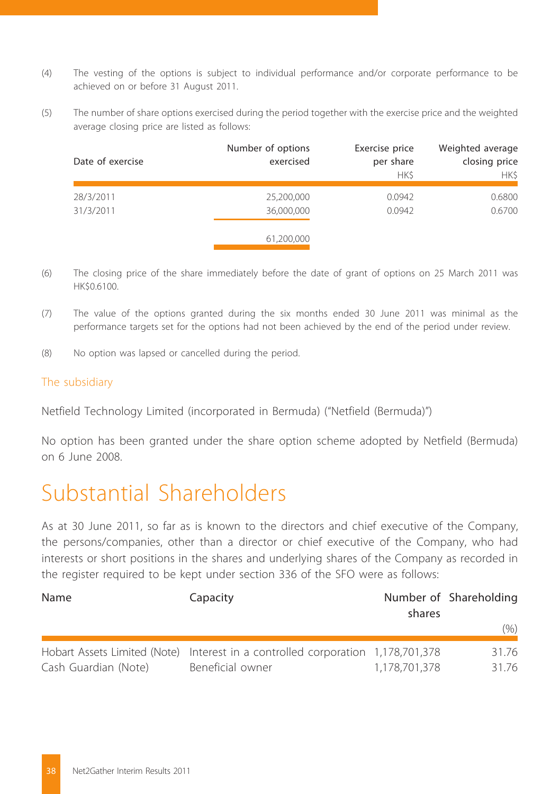- (4) The vesting of the options is subject to individual performance and/or corporate performance to be achieved on or before 31 August 2011.
- (5) The number of share options exercised during the period together with the exercise price and the weighted average closing price are listed as follows:

| Date of exercise | Number of options<br>exercised | Exercise price<br>per share<br><b>HKS</b> | Weighted average<br>closing price<br><b>HKS</b> |
|------------------|--------------------------------|-------------------------------------------|-------------------------------------------------|
|                  |                                |                                           |                                                 |
| 28/3/2011        | 25,200,000                     | 0.0942                                    | 0.6800                                          |
| 31/3/2011        | 36,000,000                     | 0.0942                                    | 0.6700                                          |
|                  |                                |                                           |                                                 |
|                  | 61,200,000                     |                                           |                                                 |

- (6) The closing price of the share immediately before the date of grant of options on 25 March 2011 was HK\$0.6100.
- (7) The value of the options granted during the six months ended 30 June 2011 was minimal as the performance targets set for the options had not been achieved by the end of the period under review.
- (8) No option was lapsed or cancelled during the period.

#### The subsidiary

Netfield Technology Limited (incorporated in Bermuda) ("Netfield (Bermuda)")

No option has been granted under the share option scheme adopted by Netfield (Bermuda) on 6 June 2008.

## Substantial Shareholders

As at 30 June 2011, so far as is known to the directors and chief executive of the Company, the persons/companies, other than a director or chief executive of the Company, who had interests or short positions in the shares and underlying shares of the Company as recorded in the register required to be kept under section 336 of the SFO were as follows:

| Name                 | Capacity                                                                                            | shares        | Number of Shareholding |  |
|----------------------|-----------------------------------------------------------------------------------------------------|---------------|------------------------|--|
|                      |                                                                                                     |               | (% )                   |  |
| Cash Guardian (Note) | Hobart Assets Limited (Note) Interest in a controlled corporation 1,178,701,378<br>Beneficial owner | 1.178.701.378 | 31.76<br>31.76         |  |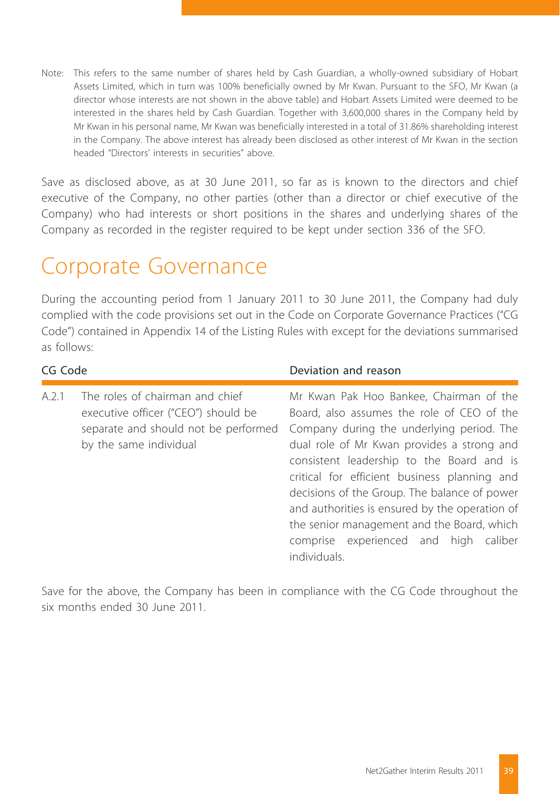Note: This refers to the same number of shares held by Cash Guardian, a wholly-owned subsidiary of Hobart Assets Limited, which in turn was 100% beneficially owned by Mr Kwan. Pursuant to the SFO, Mr Kwan (a director whose interests are not shown in the above table) and Hobart Assets Limited were deemed to be interested in the shares held by Cash Guardian. Together with 3,600,000 shares in the Company held by Mr Kwan in his personal name, Mr Kwan was beneficially interested in a total of 31.86% shareholding interest in the Company. The above interest has already been disclosed as other interest of Mr Kwan in the section headed "Directors' interests in securities" above.

Save as disclosed above, as at 30 June 2011, so far as is known to the directors and chief executive of the Company, no other parties (other than a director or chief executive of the Company) who had interests or short positions in the shares and underlying shares of the Company as recorded in the register required to be kept under section 336 of the SFO.

## Corporate Governance

During the accounting period from 1 January 2011 to 30 June 2011, the Company had duly complied with the code provisions set out in the Code on Corporate Governance Practices ("CG Code") contained in Appendix 14 of the Listing Rules with except for the deviations summarised as follows:

| CG Code |                                                                                                                                          | Deviation and reason                                                                                                                                                                                                                                                                                                                                                                                                                                                                   |
|---------|------------------------------------------------------------------------------------------------------------------------------------------|----------------------------------------------------------------------------------------------------------------------------------------------------------------------------------------------------------------------------------------------------------------------------------------------------------------------------------------------------------------------------------------------------------------------------------------------------------------------------------------|
| A.2.1   | The roles of chairman and chief<br>executive officer ("CEO") should be<br>separate and should not be performed<br>by the same individual | Mr Kwan Pak Hoo Bankee, Chairman of the<br>Board, also assumes the role of CEO of the<br>Company during the underlying period. The<br>dual role of Mr Kwan provides a strong and<br>consistent leadership to the Board and is<br>critical for efficient business planning and<br>decisions of the Group. The balance of power<br>and authorities is ensured by the operation of<br>the senior management and the Board, which<br>comprise experienced and high caliber<br>individuals. |

Save for the above, the Company has been in compliance with the CG Code throughout the six months ended 30 June 2011.